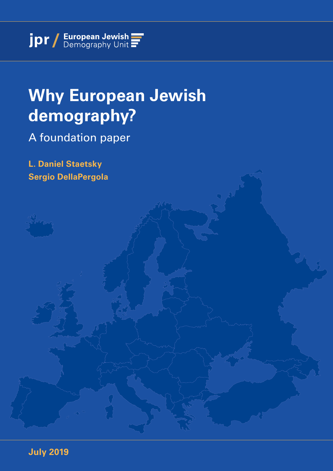## **Why European Jewish demography?**

A foundation paper

**L. Daniel Staetsky Sergio DellaPergola**

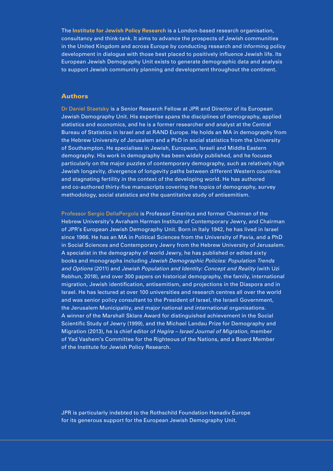The **Institute for Jewish Policy Research** is a London-based research organisation, consultancy and think-tank. It aims to advance the prospects of Jewish communities in the United Kingdom and across Europe by conducting research and informing policy development in dialogue with those best placed to positively influence Jewish life. Its European Jewish Demography Unit exists to generate demographic data and analysis to support Jewish community planning and development throughout the continent.

#### Authors

Dr Daniel Staetsky is a Senior Research Fellow at JPR and Director of its European Jewish Demography Unit. His expertise spans the disciplines of demography, applied statistics and economics, and he is a former researcher and analyst at the Central Bureau of Statistics in Israel and at RAND Europe. He holds an MA in demography from the Hebrew University of Jerusalem and a PhD in social statistics from the University of Southampton. He specialises in Jewish, European, Israeli and Middle Eastern demography. His work in demography has been widely published, and he focuses particularly on the major puzzles of contemporary demography, such as relatively high Jewish longevity, divergence of longevity paths between different Western countries and stagnating fertility in the context of the developing world. He has authored and co-authored thirty-five manuscripts covering the topics of demography, survey methodology, social statistics and the quantitative study of antisemitism.

Professor Sergio DellaPergola is Professor Emeritus and former Chairman of the Hebrew University's Avraham Harman Institute of Contemporary Jewry, and Chairman of JPR's European Jewish Demography Unit. Born in Italy 1942, he has lived in Israel since 1966. He has an MA in Political Sciences from the University of Pavía, and a PhD in Social Sciences and Contemporary Jewry from the Hebrew University of Jerusalem. A specialist in the demography of world Jewry, he has published or edited sixty books and monographs including *Jewish Demographic Policies: Population Trends and Options* (2011) and *Jewish Population and Identity: Concept and Reality* (with Uzi Rebhun, 2018), and over 300 papers on historical demography, the family, international migration, Jewish identification, antisemitism, and projections in the Diaspora and in Israel. He has lectured at over 100 universities and research centres all over the world and was senior policy consultant to the President of Israel, the Israeli Government, the Jerusalem Municipality, and major national and international organisations. A winner of the Marshall Sklare Award for distinguished achievement in the Social Scientific Study of Jewry (1999), and the Michael Landau Prize for Demography and Migration (2013), he is chief editor of *Hagira – Israel Journal of Migration*, member of Yad Vashem's Committee for the Righteous of the Nations, and a Board Member of the Institute for Jewish Policy Research.

JPR is particularly indebted to the Rothschild Foundation Hanadiv Europe for its generous support for the European Jewish Demography Unit.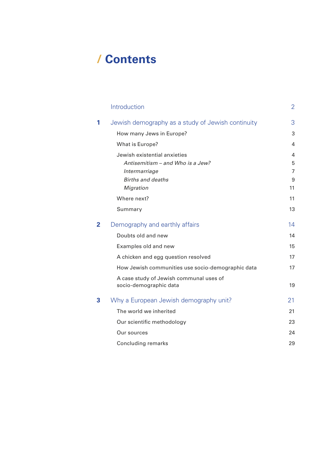## **/ Contents**

|                | Introduction                                                      | $\overline{2}$ |
|----------------|-------------------------------------------------------------------|----------------|
| 1              | Jewish demography as a study of Jewish continuity                 | 3              |
|                | How many Jews in Europe?                                          | 3              |
|                | What is Europe?                                                   | 4              |
|                | Jewish existential anxieties                                      | $\overline{4}$ |
|                | Antisemitism – and Who is a Jew?                                  | 5              |
|                | Intermarriage                                                     | 7              |
|                | <b>Births and deaths</b>                                          | 9              |
|                | Migration                                                         | 11             |
|                | Where next?                                                       | 11             |
|                | Summary                                                           | 13             |
| $\overline{2}$ | Demography and earthly affairs                                    | 14             |
|                | Doubts old and new                                                | 14             |
|                | Examples old and new                                              | 15             |
|                | A chicken and egg question resolved                               | 17             |
|                | How Jewish communities use socio-demographic data                 | 17             |
|                | A case study of Jewish communal uses of<br>socio-demographic data | 19             |
| 3              | Why a European Jewish demography unit?                            | 21             |
|                | The world we inherited                                            | 21             |
|                | Our scientific methodology                                        | 23             |
|                | Our sources                                                       | 24             |
|                | Concluding remarks                                                | 29             |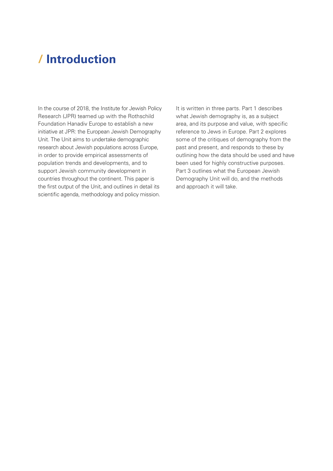## <span id="page-3-0"></span>**/ Introduction**

In the course of 2018, the Institute for Jewish Policy Research (JPR) teamed up with the Rothschild Foundation Hanadiv Europe to establish a new initiative at JPR: the European Jewish Demography Unit. The Unit aims to undertake demographic research about Jewish populations across Europe, in order to provide empirical assessments of population trends and developments, and to support Jewish community development in countries throughout the continent. This paper is the first output of the Unit, and outlines in detail its scientific agenda, methodology and policy mission.

It is written in three parts. Part 1 describes what Jewish demography is, as a subject area, and its purpose and value, with specific reference to Jews in Europe. Part 2 explores some of the critiques of demography from the past and present, and responds to these by outlining how the data should be used and have been used for highly constructive purposes. Part 3 outlines what the European Jewish Demography Unit will do, and the methods and approach it will take.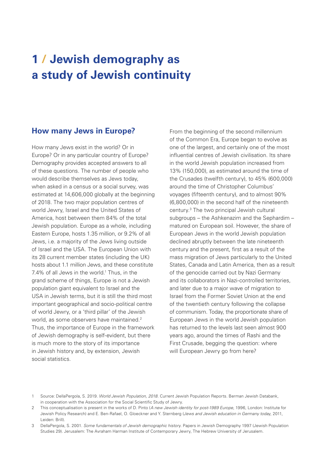## <span id="page-4-0"></span>**1 / Jewish demography as a study of Jewish continuity**

#### **How many Jews in Europe?**

How many Jews exist in the world? Or in Europe? Or in any particular country of Europe? Demography provides accepted answers to all of these questions. The number of people who would describe themselves as Jews today, when asked in a census or a social survey, was estimated at 14,606,000 globally at the beginning of 2018. The two major population centres of world Jewry, Israel and the United States of America, host between them 84% of the total Jewish population. Europe as a whole, including Eastern Europe, hosts 1.35 million, or 9.2% of all Jews, i.e. a majority of the Jews living outside of Israel and the USA. The European Union with its 28 current member states (including the UK) hosts about 1.1 million Jews, and these constitute 7.4% of all Jews in the world.<sup>1</sup> Thus, in the grand scheme of things, Europe is not a Jewish population giant equivalent to Israel and the USA in Jewish terms, but it is still the third most important geographical and socio-political centre of world Jewry, or a 'third pillar' of the Jewish world, as some observers have maintained.<sup>2</sup> Thus, the importance of Europe in the framework of Jewish demography is self-evident, but there is much more to the story of its importance in Jewish history and, by extension, Jewish social statistics.

From the beginning of the second millennium of the Common Era, Europe began to evolve as one of the largest, and certainly one of the most influential centres of Jewish civilisation. Its share in the world Jewish population increased from 13% (150,000), as estimated around the time of the Crusades (twelfth century), to 45% (600,000) around the time of Christopher Columbus' voyages (fifteenth century), and to almost 90% (6,800,000) in the second half of the nineteenth century.3 The two principal Jewish cultural subgroups – the Ashkenazim and the Sephardim – matured on European soil. However, the share of European Jews in the world Jewish population declined abruptly between the late nineteenth century and the present, first as a result of the mass migration of Jews particularly to the United States, Canada and Latin America, then as a result of the genocide carried out by Nazi Germany and its collaborators in Nazi-controlled territories, and later due to a major wave of migration to Israel from the Former Soviet Union at the end of the twentieth century following the collapse of communism. Today, the proportionate share of European Jews in the world Jewish population has returned to the levels last seen almost 900 years ago, around the times of Rashi and the First Crusade, begging the question: where will European Jewry go from here?

<sup>1</sup> Source: DellaPergola, S. 2019. *World Jewish Population, 2018*. Current Jewish Population Reports. Berman Jewish Databank, in cooperation with the Association for the Social Scientific Study of Jewry.

<sup>2</sup> This conceptualisation is present in the works of D. Pinto (*A new Jewish identity for post-1989 Europe*, 1996, London: Institute for Jewish Policy Research) and E. Ben-Rafael, O. Gloeckner and Y. Sternberg (*Jews and Jewish education in Germany today*, 2011, Leiden: Brill).

<sup>3</sup> DellaPergola, S. 2001. *Some fundamentals of Jewish demographic history*. Papers in Jewish Demography 1997 (Jewish Population Studies 29). Jerusalem: The Avraham Harman Institute of Contemporary Jewry, The Hebrew University of Jerusalem.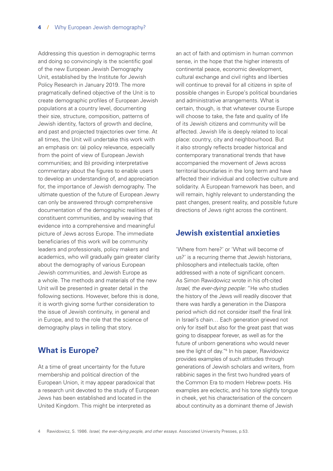Addressing this question in demographic terms and doing so convincingly is the scientific goal of the new European Jewish Demography Unit, established by the Institute for Jewish Policy Research in January 2019. The more pragmatically defined objective of the Unit is to create demographic profiles of European Jewish populations at a country level, documenting their size, structure, composition, patterns of Jewish identity, factors of growth and decline, and past and projected trajectories over time. At all times, the Unit will undertake this work with an emphasis on: (a) policy relevance, especially from the point of view of European Jewish communities; and (b) providing interpretative commentary about the figures to enable users to develop an understanding of, and appreciation for, the importance of Jewish demography. The ultimate question of the future of European Jewry can only be answered through comprehensive documentation of the demographic realities of its constituent communities, and by weaving that evidence into a comprehensive and meaningful picture of Jews across Europe. The immediate beneficiaries of this work will be community leaders and professionals, policy makers and academics, who will gradually gain greater clarity about the demography of various European Jewish communities, and Jewish Europe as a whole. The methods and materials of the new Unit will be presented in greater detail in the following sections. However, before this is done, it is worth giving some further consideration to the issue of Jewish continuity, in general and in Europe, and to the role that the science of demography plays in telling that story.

#### **What is Europe?**

At a time of great uncertainty for the future membership and political direction of the European Union, it may appear paradoxical that a research unit devoted to the study of European Jews has been established and located in the United Kingdom. This might be interpreted as

an act of faith and optimism in human common sense, in the hope that the higher interests of continental peace, economic development, cultural exchange and civil rights and liberties will continue to prevail for all citizens in spite of possible changes in Europe's political boundaries and administrative arrangements. What is certain, though, is that whatever course Europe will choose to take, the fate and quality of life of its Jewish citizens and community will be affected. Jewish life is deeply related to local place: country, city and neighbourhood. But it also strongly reflects broader historical and contemporary transnational trends that have accompanied the movement of Jews across territorial boundaries in the long term and have affected their individual and collective culture and solidarity. A European framework has been, and will remain, highly relevant to understanding the past changes, present reality, and possible future directions of Jews right across the continent.

#### **Jewish existential anxieties**

'Where from here?' or 'What will become of us?' is a recurring theme that Jewish historians, philosophers and intellectuals tackle, often addressed with a note of significant concern. As Simon Rawidowicz wrote in his oft-cited *Israel, the ever-dying people*: "He who studies the history of the Jews will readily discover that there was hardly a generation in the Diaspora period which did not consider itself the final link in Israel's chain… Each generation grieved not only for itself but also for the great past that was going to disappear forever, as well as for the future of unborn generations who would never see the light of day."<sup>4</sup> In his paper, Rawidowicz provides examples of such attitudes through generations of Jewish scholars and writers, from rabbinic sages in the first two hundred years of the Common Era to modern Hebrew poets. His examples are eclectic, and his tone slightly tongue in cheek, yet his characterisation of the concern about continuity as a dominant theme of Jewish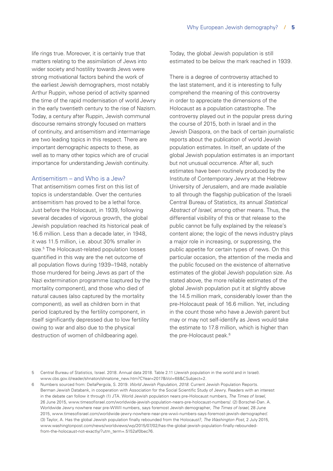life rings true. Moreover, it is certainly true that matters relating to the assimilation of Jews into wider society and hostility towards Jews were strong motivational factors behind the work of the earliest Jewish demographers, most notably Arthur Ruppin, whose period of activity spanned the time of the rapid modernisation of world Jewry in the early twentieth century to the rise of Nazism. Today, a century after Ruppin, Jewish communal discourse remains strongly focused on matters of continuity, and antisemitism and intermarriage are two leading topics in this respect. There are important demographic aspects to these, as well as to many other topics which are of crucial importance for understanding Jewish continuity.

#### Antisemitism – and Who is a Jew?

That antisemitism comes first on this list of topics is understandable. Over the centuries antisemitism has proved to be a lethal force. Just before the Holocaust, in 1939, following several decades of vigorous growth, the global Jewish population reached its historical peak of 16.6 million. Less than a decade later, in 1948, it was 11.5 million, i.e. about 30% smaller in size.<sup>5</sup> The Holocaust-related population losses quantified in this way are the net outcome of all population flows during 1939–1948, notably those murdered for being Jews as part of the Nazi extermination programme (captured by the mortality component), and those who died of natural causes (also captured by the mortality component), as well as children born in that period (captured by the fertility component, in itself significantly depressed due to low fertility owing to war and also due to the physical destruction of women of childbearing age).

Today, the global Jewish population is still estimated to be below the mark reached in 1939.

There is a degree of controversy attached to the last statement, and it is interesting to fully comprehend the meaning of this controversy in order to appreciate the dimensions of the Holocaust as a population catastrophe. The controversy played out in the popular press during the course of 2015, both in Israel and in the Jewish Diaspora, on the back of certain journalistic reports about the publication of world Jewish population estimates. In itself, an update of the global Jewish population estimates is an important but not unusual occurrence. After all, such estimates have been routinely produced by the Institute of Contemporary Jewry at the Hebrew University of Jerusalem, and are made available to all through the flagship publication of the Israeli Central Bureau of Statistics, its annual *Statistical Abstract of Israel*, among other means. Thus, the differential visibility of this or that release to the public cannot be fully explained by the release's content alone; the logic of the news industry plays a major role in increasing, or suppressing, the public appetite for certain types of news. On this particular occasion, the attention of the media and the public focused on the existence of alternative estimates of the global Jewish population size. As stated above, the more reliable estimates of the global Jewish population put it at slightly above the 14.5 million mark, considerably lower than the pre-Holocaust peak of 16.6 million. Yet, including in the count those who have a Jewish parent but may or may not self-identify as Jews would take the estimate to 17.8 million, which is higher than the pre-Holocaust peak.<sup>6</sup>

6 Numbers sourced from: DellaPergola, S. 2019. *World Jewish Population, 2018*. Current Jewish Population Reports. Berman Jewish Databank, in cooperation with Association for the Social Scientific Study of Jewry. Readers with an interest in the debate can follow it through (1) JTA. World Jewish population nears pre-Holocaust numbers, *The Times of Israel*, 26 June 2015, [www.timesofisrael.com/worldwide-jewish-population-nears-pre-holocaust-numbers/.](https://www.timesofisrael.com/worldwide-jewish-population-nears-pre-holocaust-numbers/) (2) Borschel-Dan. A. Worldwide Jewry nowhere near pre-WWII numbers, says foremost Jewish demographer, *The Times of Israel*, 28 June 2015, [www.timesofisrael.com/worldwide-jewry-nowhere-near-pre-wwii-numbers-says-foremost-jewish-demographer/](http://www.timesofisrael.com/worldwide-jewry-nowhere-near-pre-wwii-numbers-says-foremost-jewish-demographer/). (3) Taylor, A. Has the global Jewish population finally rebounded from the Holocaust?, *The Washington Post*, 2 July 2015, [www.washingtonpost.com/news/worldviews/wp/2015/07/02/has-the-global-jewish-population-finally-rebounded](https://www.washingtonpost.com/news/worldviews/wp/2015/07/02/has-the-global-jewish-population-finally-rebounded-from-the-holocaust-not-exactly/?utm_term=.5152af0bec76)[from-the-holocaust-not-exactly/?utm\\_term=.5152af0bec76](https://www.washingtonpost.com/news/worldviews/wp/2015/07/02/has-the-global-jewish-population-finally-rebounded-from-the-holocaust-not-exactly/?utm_term=.5152af0bec76).

<sup>5</sup> Central Bureau of Statistics, Israel. 2018. Annual data 2018. Table 2.11 (Jewish population in the world and in Israel). [www.cbs.gov.il/reader/shnaton/shnatone\\_new.htm?CYear=2017&Vol=68&CSubject=2](http://www.cbs.gov.il/reader/shnaton/shnatone_new.htm?CYear=2017&Vol=68&CSubject=2).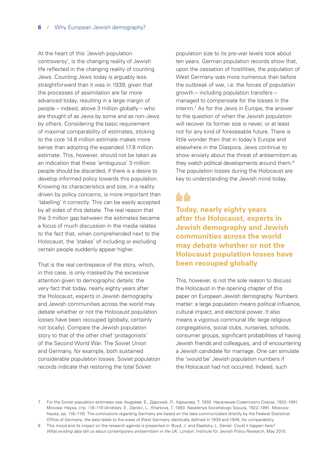At the heart of this 'Jewish population controversy', is the changing reality of Jewish life reflected in the changing reality of counting Jews. Counting Jews today is arguably less straightforward than it was in 1939, given that the processes of assimilation are far more advanced today, resulting in a large margin of people – indeed, above 3 million globally – who are thought of as Jews by some and as non-Jews by others. Considering the basic requirement of maximal comparability of estimates, sticking to the core 14.6 million estimate makes more sense than adopting the expanded 17.8 million estimate. This, however, should not be taken as an indication that these 'ambiguous' 3 million people should be discarded, if there is a desire to develop informed policy towards this population. Knowing its characteristics and size, in a reality driven by policy concerns, is more important than 'labelling' it correctly. This can be easily accepted by all sides of this debate. The real reason that the 3 million gap between the estimates became a focus of much discussion in the media relates to the fact that, when comprehended next to the Holocaust, the 'stakes' of including or excluding certain people suddenly appear higher.

That is the real centrepiece of the story, which, in this case, is only masked by the excessive attention given to demographic details: the very fact that today, nearly eighty years after the Holocaust, experts in Jewish demography and Jewish communities across the world may debate whether or not the Holocaust population losses have been recouped (globally, certainly not locally). Compare the Jewish population story to that of the other chief 'protagonists' of the Second World War. The Soviet Union and Germany, for example, both sustained considerable population losses. Soviet population records indicate that restoring the total Soviet

population size to its pre-war levels took about ten years. German population records show that, upon the cessation of hostilities, the population of West Germany was more numerous than before the outbreak of war, i.e. the forces of population growth – including population transfers – managed to compensate for the losses in the interim.7 As for the Jews in Europe, the answer to the question of when the Jewish population will recover its former size is never, or at least not for any kind of foreseeable future. There is little wonder then that in today's Europe and elsewhere in the Diaspora, Jews continue to show anxiety about the threat of antisemitism as they watch political developments around them.<sup>8</sup> The population losses during the Holocaust are key to understanding the Jewish mind today.

**Today, nearly eighty years after the Holocaust, experts in Jewish demography and Jewish communities across the world may debate whether or not the Holocaust population losses have been recouped globally**

This, however, is not the sole reason to discuss the Holocaust in the opening chapter of this paper on European Jewish demography. Numbers matter: a large population means political influence, cultural impact, and electoral power. It also means a vigorous communal life: large religious congregations, social clubs, nurseries, schools, consumer groups, significant probabilities of having Jewish friends and colleagues, and of encountering a Jewish candidate for marriage. One can simulate the 'would be' Jewish population numbers if the Holocaust had not occurred. Indeed, such

8 This mood and its impact on the research agenda is presented in: Boyd, J. and Staetsky, L. Daniel. *[Could it happen here?](https://www.jpr.org.uk/publication?id=4032)  [What existing data tell us about contemporary antisemitism in the UK](https://www.jpr.org.uk/publication?id=4032)*. London: Institute for Jewish Policy Research, May 2015.

<sup>7</sup> For the Soviet population estimates see: Андреев, Е., Дарский, Л., Харькова, Т. 1993. Население Советского Союза, 1922–1991. Москва: Наука, стр. 118–119 (Andreev, E., Darskii, L., Kharkova, T. 1993. Naselenye Sovietskogo Soyuza, 1922–1991. Moscow: Nauka, pp. 118–119). The conclusions regarding Germany are based on the data communicated directly by the Federal Statistical Office of Germany; the data relate to the areas of West Germany identically defined in 1939 and 1946, for comparability.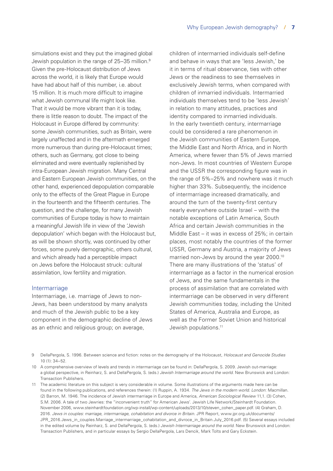simulations exist and they put the imagined global Jewish population in the range of 25–35 million.<sup>9</sup> Given the pre-Holocaust distribution of Jews across the world, it is likely that Europe would have had about half of this number, i.e. about 15 million. It is much more difficult to imagine what Jewish communal life might look like. That it would be more vibrant than it is today, there is little reason to doubt. The impact of the Holocaust in Europe differed by community: some Jewish communities, such as Britain, were largely unaffected and in the aftermath emerged more numerous than during pre-Holocaust times; others, such as Germany, got close to being eliminated and were eventually replenished by intra-European Jewish migration. Many Central and Eastern European Jewish communities, on the other hand, experienced depopulation comparable only to the effects of the Great Plague in Europe in the fourteenth and the fifteenth centuries. The question, and the challenge, for many Jewish communities of Europe today is how to maintain a meaningful Jewish life in view of the 'Jewish depopulation' which began with the Holocaust but, as will be shown shortly, was continued by other forces, some purely demographic, others cultural, and which already had a perceptible impact on Jews before the Holocaust struck: cultural assimilation, low fertility and migration.

#### **Intermarriage**

Intermarriage, i.e. marriage of Jews to non-Jews, has been understood by many analysts and much of the Jewish public to be a key component in the demographic decline of Jews as an ethnic and religious group; on average,

children of intermarried individuals self-define and behave in ways that are 'less Jewish,' be it in terms of ritual observance, ties with other Jews or the readiness to see themselves in exclusively Jewish terms, when compared with children of inmarried individuals. Intermarried individuals themselves tend to be 'less Jewish' in relation to many attitudes, practices and identity compared to inmarried individuals. In the early twentieth century, intermarriage could be considered a rare phenomenon in the Jewish communities of Eastern Europe, the Middle East and North Africa, and in North America, where fewer than 5% of Jews married non-Jews. In most countries of Western Europe and the USSR the corresponding figure was in the range of 5%–25% and nowhere was it much higher than 33%. Subsequently, the incidence of intermarriage increased dramatically, and around the turn of the twenty-first century nearly everywhere outside Israel – with the notable exceptions of Latin America, South Africa and certain Jewish communities in the Middle East – it was in excess of 25%; in certain places, most notably the countries of the former USSR, Germany and Austria, a majority of Jews married non-Jews by around the year 2000.10 There are many illustrations of the 'status' of intermarriage as a factor in the numerical erosion of Jews, and the same fundamentals in the process of assimilation that are correlated with intermarriage can be observed in very different Jewish communities today, including the United States of America, Australia and Europe, as well as the Former Soviet Union and historical Jewish populations.11

- 9 DellaPergola, S. 1996. Between science and fiction: notes on the demography of the Holocaust, *Holocaust and Genocide Studies* 10 (1): 34–52.
- 10 A comprehensive overview of levels and trends in intermarriage can be found in: DellaPergola, S. 2009. Jewish out-marriage: a global perspective, in Reinharz, S. and DellaPergola, S. (eds.) *Jewish Intermarriage around the world*. New Brunswick and London: Transaction Publishers.
- 11 The academic literature on this subject is very considerable in volume. Some illustrations of the arguments made here can be found in the following publications, and references therein: (1) Ruppin, A. 1934. *The Jews in the modern world. London*: Macmillan. (2) Barron, M. 1946. The incidence of Jewish intermarriage in Europe and America, *American Sociological Review* 11,1. (3) Cohen, S.M. 2006. A tale of two Jewries: the "inconvenient truth" for American Jews'. Jewish Life Network/Steinhardt Foundation. November 2006, [www.steinhardtfoundation.org/wp-install/wp-content/uploads/2013/10/steven\\_cohen\\_paper.pdf.](http://www.steinhardtfoundation.org/wp-install/wp-content/uploads/2013/10/steven_cohen_paper.pdf) (4) Graham, D. 2016. *Jews in couples: marriage, intermarriage, cohabitation and divorce in Britain*. JPR Report, [www.jpr.org.uk/documents/](http://www.jpr.org.uk/documents/JPR_2016.Jews_in_couples.Marriage_intermarriage_cohabitation_and_divroce_in_Britain.July_2016.pdf) [JPR\\_2016.Jews\\_in\\_couples.Marriage\\_intermarriage\\_cohabitation\\_and\\_divroce\\_in\\_Britain.July\\_2016.pdf.](http://www.jpr.org.uk/documents/JPR_2016.Jews_in_couples.Marriage_intermarriage_cohabitation_and_divroce_in_Britain.July_2016.pdf) (5) Several essays included in the edited volume by Reinharz, S. and DellaPergola, S. (eds.) *Jewish Intermarriage around the world*. New Brunswick and London: Transaction Publishers, and in particular essays by Sergio DellaPergola, Lars Dencik, Mark Tolts and Gary Eckstein.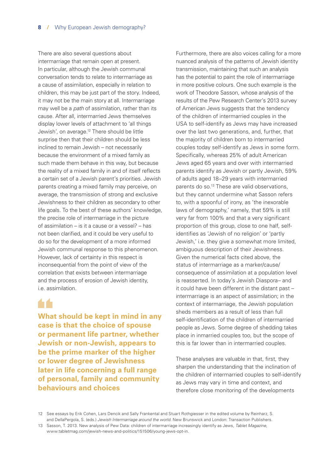There are also several questions about intermarriage that remain open at present. In particular, although the Jewish communal conversation tends to relate to intermarriage as a cause of assimilation, especially in relation to children, this may be just part of the story. Indeed, it may not be the main story at all. Intermarriage may well be a *path* of assimilation, rather than its cause. After all, intermarried Jews themselves display lower levels of attachment to 'all things Jewish', on average.12 There should be little surprise then that their children should be less inclined to remain Jewish – not necessarily because the environment of a mixed family as such made them behave in this way, but because the reality of a mixed family in and of itself reflects a certain set of a Jewish parent's priorities. Jewish parents creating a mixed family may perceive, on average, the transmission of strong and exclusive Jewishness to their children as secondary to other life goals. To the best of these authors' knowledge, the precise role of intermarriage in the picture of assimilation – is it a cause or a vessel? – has not been clarified, and it could be very useful to do so for the development of a more informed Jewish communal response to this phenomenon. However, lack of certainty in this respect is inconsequential from the point of view of the correlation that exists between intermarriage and the process of erosion of Jewish identity, i.e. assimilation.

**What should be kept in mind in any case is that the choice of spouse or permanent life partner, whether Jewish or non-Jewish, appears to be the prime marker of the higher or lower degree of Jewishness later in life concerning a full range of personal, family and community behaviours and choices**

Furthermore, there are also voices calling for a more nuanced analysis of the patterns of Jewish identity transmission, maintaining that such an analysis has the potential to paint the role of intermarriage in more positive colours. One such example is the work of Theodore Sasson, whose analysis of the results of the Pew Research Center's 2013 survey of American Jews suggests that the tendency of the children of intermarried couples in the USA to self-identify as Jews may have increased over the last two generations, and, further, that the majority of children born to intermarried couples today self-identify as Jews in some form. Specifically, whereas 25% of adult American Jews aged 65 years and over with intermarried parents identify as Jewish or partly Jewish, 59% of adults aged 18–29 years with intermarried parents do so.<sup>13</sup> These are valid observations, but they cannot undermine what Sasson refers to, with a spoonful of irony, as 'the inexorable laws of demography,' namely, that 59% is still very far from 100% and that a very significant proportion of this group, close to one half, selfidentifies as 'Jewish of no religion' or 'partly Jewish,' i.e. they give a somewhat more limited, ambiguous description of their Jewishness. Given the numerical facts cited above, the status of intermarriage as a marker/cause/ consequence of assimilation at a population level is reasserted. In today's Jewish Diaspora– and it could have been different in the distant past – intermarriage is an aspect of assimilation; in the context of intermarriage, the Jewish population sheds members as a result of less than full self-identification of the children of intermarried people as Jews. Some degree of shedding takes place in inmarried couples too, but the scope of this is far lower than in intermarried couples.

These analyses are valuable in that, first, they sharpen the understanding that the inclination of the children of intermarried couples to self-identify as Jews may vary in time and context, and therefore close monitoring of the developments

12 See essays by Erik Cohen, Lars Dencik and Sally Frankental and Stuart Rothgiesser in the edited volume by Reinharz, S. and DellaPergola, S. (eds.) *Jewish Intermarriage around the world*. New Brunswick and London: Transaction Publishers.

13 Sasson, T. 2013. New analysis of Pew Data: children of intermarriage increasingly identify as Jews, *Tablet Magazine*, [www.tabletmag.com/jewish-news-and-politics/151506/young-jews-opt-in.](https://www.tabletmag.com/jewish-news-and-politics/151506/young-jews-opt-in)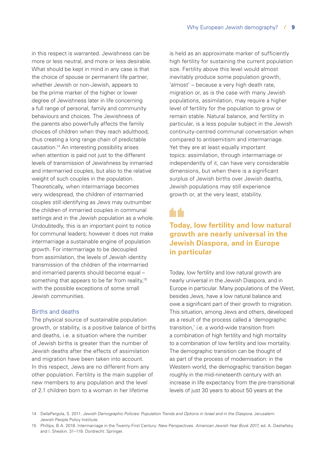in this respect is warranted. Jewishness can be more or less neutral, and more or less desirable. What should be kept in mind in any case is that the choice of spouse or permanent life partner, whether Jewish or non-Jewish, appears to be the prime marker of the higher or lower degree of Jewishness later in life concerning a full range of personal, family and community behaviours and choices. The Jewishness of the parents also powerfully affects the family choices of children when they reach adulthood, thus creating a long range chain of predictable causation.14 An interesting possibility arises when attention is paid not just to the different levels of transmission of Jewishness by inmarried and intermarried couples, but also to the relative weight of such couples in the population. Theoretically, when intermarriage becomes very widespread, the children of intermarried couples still identifying as Jews may outnumber the children of inmarried couples in communal settings and in the Jewish population as a whole. Undoubtedly, this is an important point to notice for communal leaders; however it does not make intermarriage a sustainable engine of population growth. For intermarriage to be decoupled from assimilation, the levels of Jewish identity transmission of the children of the intermarried and inmarried parents should become equal – something that appears to be far from reality,<sup>15</sup> with the possible exceptions of some small Jewish communities.

#### Births and deaths

The physical source of sustainable population growth, or stability, is a positive balance of births and deaths, i.e. a situation where the number of Jewish births is greater than the number of Jewish deaths after the effects of assimilation and migration have been taken into account. In this respect, Jews are no different from any other population. Fertility is the main supplier of new members to any population and the level of 2.1 children born to a woman in her lifetime

is held as an approximate marker of sufficiently high fertility for sustaining the current population size. Fertility above this level would almost inevitably produce some population growth, 'almost' – because a very high death rate, migration or, as is the case with many Jewish populations, assimilation, may require a higher level of fertility for the population to grow or remain stable. Natural balance, and fertility in particular, is a less popular subject in the Jewish continuity-centred communal conversation when compared to antisemitism and intermarriage. Yet they are at least equally important topics: assimilation, through intermarriage or independently of it, can have very considerable dimensions, but when there is a significant surplus of Jewish births over Jewish deaths, Jewish populations may still experience growth or, at the very least, stability.

### 66

#### **Today, low fertility and low natural growth are nearly universal in the Jewish Diaspora, and in Europe in particular**

Today, low fertility and low natural growth are nearly universal in the Jewish Diaspora, and in Europe in particular. Many populations of the West, besides Jews, have a low natural balance and owe a significant part of their growth to migration. This situation, among Jews and others, developed as a result of the process called a 'demographic transition,' i.e. a world-wide transition from a combination of high fertility and high mortality to a combination of low fertility and low mortality. The demographic transition can be thought of as part of the process of modernisation: in the Western world, the demographic transition began roughly in the mid-nineteenth century with an increase in life expectancy from the pre-transitional levels of just 30 years to about 50 years at the

14 DellaPergola, S. 2011. *Jewish Demographic Policies: Population Trends and Options in Israel and in the Diaspora*. Jerusalem: Jewish People Policy Institute.

<sup>15</sup> Phillips, B.A. 2018. Intermarriage in the Twenty-First Century: New Perspectives. *American Jewish Year Book 2017*, ed. A. Dashefsky and I. Sheskin. 31–119. Dordrecht: Springer.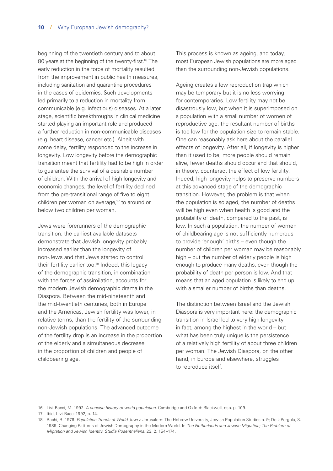beginning of the twentieth century and to about 80 years at the beginning of the twenty-first.<sup>16</sup> The early reduction in the force of mortality resulted from the improvement in public health measures, including sanitation and quarantine procedures in the cases of epidemics. Such developments led primarily to a reduction in mortality from communicable (e.g. infectious) diseases. At a later stage, scientific breakthroughs in clinical medicine started playing an important role and produced a further reduction in non-communicable diseases (e.g. heart disease, cancer etc.). Albeit with some delay, fertility responded to the increase in longevity. Low longevity before the demographic transition meant that fertility had to be high in order to guarantee the survival of a desirable number of children. With the arrival of high longevity and economic changes, the level of fertility declined from the pre-transitional range of five to eight children per woman on average,<sup>17</sup> to around or below two children per woman.

Jews were forerunners of the demographic transition: the earliest available datasets demonstrate that Jewish longevity probably increased earlier than the longevity of non-Jews and that Jews started to control their fertility earlier too.<sup>18</sup> Indeed, this legacy of the demographic transition, in combination with the forces of assimilation, accounts for the modern Jewish demographic drama in the Diaspora. Between the mid-nineteenth and the mid-twentieth centuries, both in Europe and the Americas, Jewish fertility was lower, in relative terms, than the fertility of the surrounding non-Jewish populations. The advanced outcome of the fertility drop is an increase in the proportion of the elderly and a simultaneous decrease in the proportion of children and people of childbearing age.

This process is known as ageing, and today, most European Jewish populations are more aged than the surrounding non-Jewish populations.

Ageing creates a low reproduction trap which may be temporary but it is no less worrying for contemporaries. Low fertility may not be disastrously low, but when it is superimposed on a population with a small number of women of reproductive age, the resultant number of births is too low for the population size to remain stable. One can reasonably ask here about the parallel effects of longevity. After all, if longevity is higher than it used to be, more people should remain alive, fewer deaths should occur and that should, in theory, counteract the effect of low fertility. Indeed, high longevity helps to preserve numbers at this advanced stage of the demographic transition. However, the problem is that when the population is so aged, the number of deaths will be high even when health is good and the probability of death, compared to the past, is low. In such a population, the number of women of childbearing age is not sufficiently numerous to provide 'enough' births – even though the number of children per woman may be reasonably high – but the number of elderly people is high enough to produce many deaths, even though the probability of death per person is low. And that means that an aged population is likely to end up with a smaller number of births than deaths.

The distinction between Israel and the Jewish Diaspora is very important here: the demographic transition in Israel led to very high longevity – in fact, among the highest in the world – but what has been truly unique is the persistence of a relatively high fertility of about three children per woman. The Jewish Diaspora, on the other hand, in Europe and elsewhere, struggles to reproduce itself.

16 Livi-Bacci, M. 1992. *A concise history of world population.* Cambridge and Oxford: Blackwell, esp. p. 109.

17 Ibid, Livi-Bacci 1992, p. 14.

18 Bachi, R. 1976. *Population Trends of World Jewry*. Jerusalem: The Hebrew University, Jewish Population Studies n. 9; DellaPergola, S. 1989. Changing Patterns of Jewish Demography in the Modern World. In *The Netherlands and Jewish Migration; The Problem of Migration and Jewish Identity. Studia Rosenthaliana*, 23, 2, 154–174.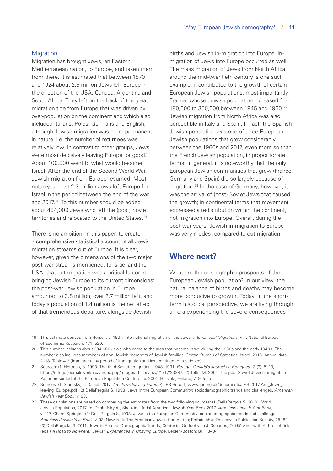#### **Migration**

Migration has brought Jews, an Eastern Mediterranean nation, to Europe, and taken them from there. It is estimated that between 1870 and 1924 about 2.5 million Jews left Europe in the direction of the USA, Canada, Argentina and South Africa. They left on the back of the great migration tide from Europe that was driven by over-population on the continent and which also included Italians, Poles, Germans and English, although Jewish migration was more permanent in nature, i.e. the number of returnees was relatively low. In contrast to other groups, Jews were most decisively leaving Europe for good.19 About 100,000 went to what would become Israel. After the end of the Second World War, Jewish migration from Europe resumed. Most notably, almost 2.3 million Jews left Europe for Israel in the period between the end of the war and 2017.20 To this number should be added about 404,000 Jews who left the (post) Soviet territories and relocated to the United States.<sup>21</sup>

There is no ambition, in this paper, to create a comprehensive statistical account of all Jewish migration streams out of Europe. It is clear, however, given the dimensions of the two major post-war streams mentioned, to Israel and the USA, that out-migration was a critical factor in bringing Jewish Europe to its current dimensions: the post-war Jewish population in Europe amounted to 3.8 million; over 2.7 million left, and today's population of 1.4 million is the net effect of that tremendous departure, alongside Jewish

births and Jewish in-migration into Europe. Inmigration of Jews into Europe occurred as well. The mass migration of Jews from North Africa around the mid-twentieth century is one such example: it contributed to the growth of certain European Jewish populations, most importantly France, whose Jewish population increased from 180,000 to 350,000 between 1945 and 1960.<sup>22</sup> Jewish migration from North Africa was also perceptible in Italy and Spain. In fact, the Spanish Jewish population was one of three European Jewish populations that grew considerably between the 1960s and 2017, even more so than the French Jewish population, in proportionate terms. In general, it is noteworthy that the only European Jewish communities that grew (France, Germany and Spain) did so largely because of migration.23 In the case of Germany, however, it was the arrival of (post) Soviet Jews that caused the growth; in continental terms that movement expressed a redistribution within the continent, not migration into Europe. Overall, during the post-war years, Jewish in-migration to Europe was very modest compared to out-migration.

#### **Where next?**

What are the demographic prospects of the European Jewish population? In our view, the natural balance of births and deaths may become more conducive to growth. Today, in the shortterm historical perspective, we are living through an era experiencing the severe consequences

- 19 This estimate derives from Hersch, L. 1931. International migration of the Jews, *International Migrations*, V.II. National Bureau of Economic Research, 471–520.
- 20 This number includes about 234,000 Jews who came to the area that became Israel during the 1930s and the early 1940s. The number also includes members of non-Jewish members of Jewish families. Central Bureau of Statistics, Israel. 2018. Annual data 2018. Table 4.2 (Immigrants by period of immigration and last continent of residence).
- 21 Sources: (1) Heitman, S. 1993. The third Soviet emigration, 1948–1991, *Refuge, Canada's Journal on Refugees* 13 (2): 5–13, [https://refuge.journals.yorku.ca/index.php/refuge/article/view/21717/20387.](https://refuge.journals.yorku.ca/index.php/refuge/article/view/21717/20387) (2) Tolts, M. 2001. The post-Soviet Jewish emigration. Paper presented at the European Population Conference 2001, Helsinki, Finland, 7–9 June.
- 22 Sources: (1) Staetsky, L. Daniel. 2017. *Are Jews leaving Europe?,* JPR Report, [www.jpr.org.uk/documents/JPR.2017.Are\\_Jews\\_](https://www.jpr.org.uk/documents/JPR.2017.Are_Jews_leaving_Europe.pdf) [leaving\\_Europe.pdf.](https://www.jpr.org.uk/documents/JPR.2017.Are_Jews_leaving_Europe.pdf) (2) DellaPergola S. 1993. Jews in the European Community: sociodemographic trends and challenges. *American Jewish Year Book*, v. 93.
- 23 These calculations are based on comparing the estimates from the two following sources: (1) DellaPergola S. 2018. World Jewish Population, 2017. In: Dashefsky A., Sheskin I. (eds) American Jewish Year Book 2017. *American Jewish Year Book*, v. 117. Cham: Springer; (2) DellaPergola S. 1993. Jews in the European Community: sociodemographic trends and challenges. *American Jewish Year Book*, v. 93. New York: The American Jewish Committee; Philadelphia: The Jewish Publication Society, 25–82. (3) DellaPergola, S. 2011. Jews in Europe: Demographic Trends, Contexts, Outlooks. In J. Schoeps, O. Glöckner with A. Kreienbrink (eds.) *A Road to Nowhere? Jewish Experiences in Unifying Europe*. Leiden/Boston: Brill, 3–34.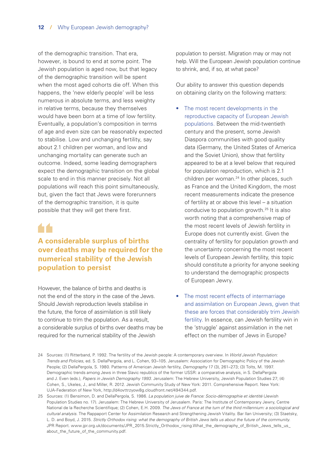of the demographic transition. That era, however, is bound to end at some point. The Jewish population is aged now, but that legacy of the demographic transition will be spent when the most aged cohorts die off. When this happens, the 'new elderly people' will be less numerous in absolute terms, and less weighty in relative terms, because they themselves would have been born at a time of low fertility. Eventually, a population's composition in terms of age and even size can be reasonably expected to stabilise. Low and unchanging fertility, say about 2.1 children per woman, and low and unchanging mortality can generate such an outcome. Indeed, some leading demographers expect the demographic transition on the global scale to end in this manner precisely. Not all populations will reach this point simultaneously, but, given the fact that Jews were forerunners of the demographic transition, it is quite possible that they will get there first.

## 66

#### **A considerable surplus of births over deaths may be required for the numerical stability of the Jewish population to persist**

However, the balance of births and deaths is not the end of the story in the case of the Jews. Should Jewish reproduction levels stabilise in the future, the force of assimilation is still likely to continue to trim the population. As a result, a considerable surplus of births over deaths may be required for the numerical stability of the Jewish

population to persist. Migration may or may not help. Will the European Jewish population continue to shrink, and, if so, at what pace?

Our ability to answer this question depends on obtaining clarity on the following matters:

- The most recent developments in the reproductive capacity of European Jewish populations. Between the mid-twentieth century and the present, some Jewish Diaspora communities with good quality data (Germany, the United States of America and the Soviet Union), show that fertility appeared to be at a level below that required for population reproduction, which is 2.1 children per woman.<sup>24</sup> In other places, such as France and the United Kingdom, the most recent measurements indicate the presence of fertility at or above this level – a situation conducive to population growth.25 It is also worth noting that a comprehensive map of the most recent levels of Jewish fertility in Europe does not currently exist. Given the centrality of fertility for population growth and the uncertainty concerning the most recent levels of European Jewish fertility, this topic should constitute a priority for anyone seeking to understand the demographic prospects of European Jewry.
- The most recent effects of intermarriage and assimilation on European Jews, given that these are forces that considerably trim Jewish fertility. In essence, can Jewish fertility win in the 'struggle' against assimilation in the net effect on the number of Jews in Europe?

<sup>24</sup> Sources: (1) Ritterband, P. 1992. The fertility of the Jewish people: A contemporary overview. In *World Jewish Population: Trends and Policies*, ed. S. DellaPergola, and L. Cohen, 93–105. Jerusalem: Association for Demographic Policy of the Jewish People*;* (2) DellaPergola, S. 1980. Patterns of American Jewish fertility, *Demography* 17 (3), 261–273; (3) Tolts, M. 1997. Demographic trends among Jews in three Slavic republics of the former USSR: a comparative analysis, in S. DellaPergola and J. Even (eds.), *Papers in Jewish Demography 1993*. Jerusalem: The Hebrew University, Jewish Population Studies 27; (4) Cohen, S., Ukeles, J., and Miller, R. 2012. Jewish Community Study of New York: 2011. Comprehensive Report. New York: UJA-Federation of New York,<http://d4ovttrzyow8g.cloudfront.net/494344.pdf>.

<sup>25</sup> Sources: (1) Bensimon, D. and DellaPergola, S. 1986. *La population juive de France: Socio-démographie et identité* (Jewish Population Studies no. 17). Jerusalem: The Hebrew University of Jerusalem. Paris: The Institute of Contemporary Jewry, Centre National de la Recherche Scientifique; (2) Cohen, E.H. 2009. *The Jews of France at the turn of the third millennium: a sociological and cultural analysis.* The Rappaport Center for Assimilation Research and Strengthening Jewish Vitality. Bar Ilan University; (3) Staetsky, L. D. and Boyd, J. 2015. *Strictly Orthodox rising: what the demography of British Jews tells us about the future of the community*. JPR Report. [www.jpr.org.uk/documents/JPR\\_2015.Strictly\\_Orthodox\\_rising.What\\_the\\_demography\\_of\\_British\\_Jews\\_tells\\_us\\_](https://www.jpr.org.uk/documents/JPR_2015.Strictly_Orthodox_rising.What_the_demography_of_British_Jews_tells_us_about_the_future_of_the_community.pdf) [about\\_the\\_future\\_of\\_the\\_community.pdf](https://www.jpr.org.uk/documents/JPR_2015.Strictly_Orthodox_rising.What_the_demography_of_British_Jews_tells_us_about_the_future_of_the_community.pdf).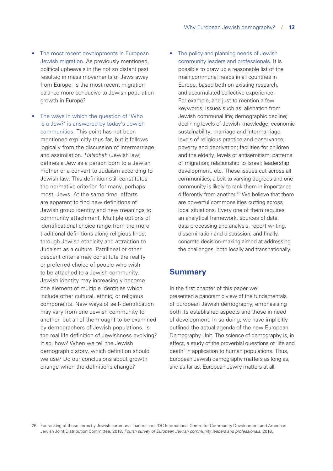- The most recent developments in European Jewish migration. As previously mentioned, political upheavals in the not so distant past resulted in mass movements of Jews away from Europe. Is the most recent migration balance more conducive to Jewish population growth in Europe?
- The ways in which the question of 'Who is a Jew?' is answered by today's Jewish communities. This point has not been mentioned explicitly thus far, but it follows logically from the discussion of intermarriage and assimilation. *Halachah* (Jewish law) defines a Jew as a person born to a Jewish mother or a convert to Judaism according to Jewish law. This definition still constitutes the normative criterion for many, perhaps most, Jews. At the same time, efforts are apparent to find new definitions of Jewish group identity and new meanings to community attachment. Multiple options of identificational choice range from the more traditional definitions along religious lines, through Jewish ethnicity and attraction to Judaism as a culture. Patrilineal or other descent criteria may constitute the reality or preferred choice of people who wish to be attached to a Jewish community. Jewish identity may increasingly become one element of multiple identities which include other cultural, ethnic, or religious components. New ways of self-identification may vary from one Jewish community to another, but all of them ought to be examined by demographers of Jewish populations. Is the real life definition of Jewishness evolving? If so, how? When we tell the Jewish demographic story, which definition should we use? Do our conclusions about growth change when the definitions change?
- The policy and planning needs of Jewish community leaders and professionals. It is possible to draw up a reasonable list of the main communal needs in all countries in Europe, based both on existing research, and accumulated collective experience. For example, and just to mention a few keywords, issues such as: alienation from Jewish communal life; demographic decline; declining levels of Jewish knowledge; economic sustainability; marriage and intermarriage; levels of religious practice and observance; poverty and deprivation; facilities for children and the elderly; levels of antisemitism; patterns of migration; relationship to Israel; leadership development, etc. These issues cut across all communities, albeit to varying degrees and one community is likely to rank them in importance differently from another.<sup>26</sup> We believe that there are powerful commonalities cutting across local situations. Every one of them requires an analytical framework, sources of data, data processing and analysis, report writing, dissemination and discussion, and finally, concrete decision-making aimed at addressing the challenges, both locally and transnationally.

#### **Summary**

In the first chapter of this paper we presented a panoramic view of the fundamentals of European Jewish demography, emphasising both its established aspects and those in need of development. In so doing, we have implicitly outlined the actual agenda of the new European Demography Unit. The science of demography is, in effect, a study of the proverbial questions of 'life and death' in application to human populations. Thus, European Jewish demography matters as long as, and as far as, European Jewry matters at all.

26 For ranking of these items by Jewish communal leaders see JDC International Centre for Community Development and American Jewish Joint Distribution Committee. 2018. *Fourth survey of European Jewish community leaders and professionals*, 2018.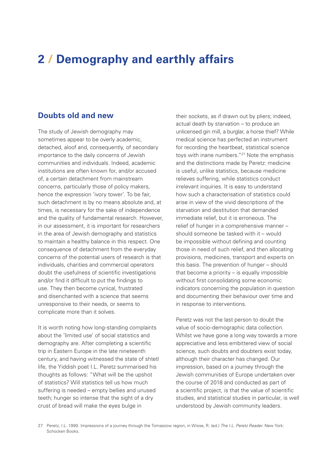## <span id="page-15-0"></span>**2 / Demography and earthly affairs**

#### **Doubts old and new**

The study of Jewish demography may sometimes appear to be overly academic, detached, aloof and, consequently, of secondary importance to the daily concerns of Jewish communities and individuals. Indeed, academic institutions are often known for, and/or accused of, a certain detachment from mainstream concerns, particularly those of policy makers, hence the expression 'ivory tower'. To be fair, such detachment is by no means absolute and, at times, is necessary for the sake of independence and the quality of fundamental research. However, in our assessment, it is important for researchers in the area of Jewish demography and statistics to maintain a healthy balance in this respect. One consequence of detachment from the everyday concerns of the potential users of research is that individuals, charities and commercial operators doubt the usefulness of scientific investigations and/or find it difficult to put the findings to use. They then become cynical, frustrated and disenchanted with a science that seems unresponsive to their needs, or seems to complicate more than it solves.

It is worth noting how long-standing complaints about the 'limited use' of social statistics and demography are. After completing a scientific trip in Eastern Europe in the late nineteenth century, and having witnessed the state of shtetl life, the Yiddish poet I.L. Peretz summarised his thoughts as follows: "What will be the upshot of statistics? Will statistics tell us how much suffering is needed – empty bellies and unused teeth; hunger so intense that the sight of a dry crust of bread will make the eyes bulge in

their sockets, as if drawn out by pliers; indeed, actual death by starvation – to produce an unlicensed gin mill, a burglar, a horse thief? While medical science has perfected an instrument for recording the heartbeat, statistical science toys with inane numbers."27 Note the emphasis and the distinctions made by Peretz: medicine is useful, unlike statistics, because medicine relieves suffering, while statistics conduct irrelevant inquiries. It is easy to understand how such a characterisation of statistics could arise in view of the vivid descriptions of the starvation and destitution that demanded immediate relief, but it is erroneous. The relief of hunger in a comprehensive manner – should someone be tasked with it – would be impossible without defining and counting those in need of such relief, and then allocating provisions, medicines, transport and experts on this basis. The prevention of hunger – should that become a priority – is equally impossible without first consolidating some economic indicators concerning the population in question and documenting their behaviour over time and in response to interventions.

Peretz was not the last person to doubt the value of socio-demographic data collection. Whilst we have gone a long way towards a more appreciative and less embittered view of social science, such doubts and doubters exist today, although their character has changed. Our impression, based on a journey through the Jewish communities of Europe undertaken over the course of 2018 and conducted as part of a scientific project, is that the value of scientific studies, and statistical studies in particular, is well understood by Jewish community leaders.

27 Peretz, I.L. 1990. Impressions of a journey through the Tomaszow region, in Wisse, R. (ed.) *The I.L. Peretz Reader*. New York: Schocken Books.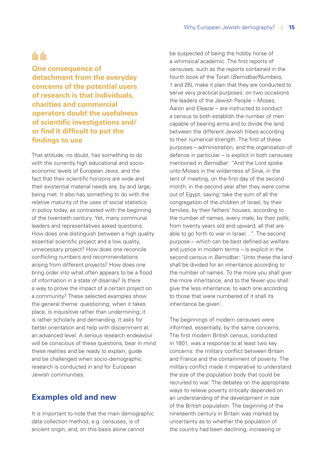## 44

**One consequence of detachment from the everyday concerns of the potential users of research is that individuals, charities and commercial operators doubt the usefulness of scientific investigations and/ or find it difficult to put the findings to use**

That attitude, no doubt, has something to do with the currently high educational and socioeconomic levels of European Jews, and the fact that their scientific horizons are wide and their existential material needs are, by and large, being met. It also has something to do with the relative maturity of the uses of social statistics in policy today, as contrasted with the beginning of the twentieth century. Yet, many communal leaders and representatives asked questions. How does one distinguish between a high quality essential scientific project and a low quality, unnecessary project? How does one reconcile conflicting numbers and recommendations arising from different projects? How does one bring order into what often appears to be a flood of information in a state of disarray? Is there a way to prove the impact of a certain project on a community? These selected examples show the general theme: questioning, when it takes place, is inquisitive rather than undermining; it is rather scholarly and demanding. It asks for better orientation and help with discernment at an advanced level. A serious research endeavour will be conscious of these questions, bear in mind these realities and be ready to explain, guide and be challenged when socio-demographic research is conducted in and for European Jewish communities.

#### **Examples old and new**

It is important to note that the main demographic data collection method, e.g. censuses, is of ancient origin, and, on this basis alone cannot

be suspected of being the hobby horse of a whimsical academic. The first reports of censuses, such as the reports contained in the fourth book of the Torah (*Bemidbar/Numbers*, 1 and 26), make it plain that they are conducted to serve very practical purposes: on two occasions the leaders of the Jewish People – Moses, Aaron and Eleazar – are instructed to conduct a census to both establish the number of men capable of bearing arms and to divide the land between the different Jewish tribes according to their numerical strength. The first of these purposes – administration, and the organisation of defence in particular – is explicit in both censuses mentioned in *Bemidbar*: "And the Lord spoke unto Moses in the wilderness of Sinai, in the tent of meeting, on the first day of the second month, in the second year after they were come out of Egypt, saying: take the sum of all the congregation of the children of Israel, by their families, by their fathers' houses, according to the number of names, every male, by their polls; from twenty years old and upward, all that are able to go forth to war in Israel…". The second purpose – which can be best defined as welfare and justice in modern terms – is explicit in the second census in *Bemidbar*: 'Unto these the land shall be divided for an inheritance according to the number of names. To the more you shall give the more inheritance, and to the fewer you shall give the less inheritance; to each one according to those that were numbered of it shall its inheritance be given'.

The beginnings of modern censuses were informed, essentially, by the same concerns. The first modern British census, conducted in 1801, was a response to at least two key concerns: the military conflict between Britain and France and the containment of poverty. The military conflict made it imperative to understand the size of the population body that could be recruited to war. The debates on the appropriate ways to relieve poverty critically depended on an understanding of the development in size of the British population. The beginning of the nineteenth century in Britain was marked by uncertainty as to whether the population of the country had been declining, increasing or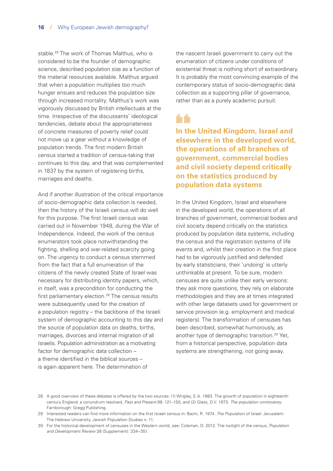stable.28 The work of Thomas Malthus, who is considered to be the founder of demographic science, described population size as a function of the material resources available. Malthus argued that when a population multiplies too much hunger ensues and reduces the population size through increased mortality. Malthus's work was vigorously discussed by British intellectuals at the time. Irrespective of the discussants' ideological tendencies, debate about the appropriateness of concrete measures of poverty relief could not move up a gear without a knowledge of population trends. The first modern British census started a tradition of census-taking that continues to this day, and that was complemented in 1837 by the system of registering births, marriages and deaths.

And if another illustration of the critical importance of socio-demographic data collection is needed, then the history of the Israeli census will do well for this purpose. The first Israeli census was carried out in November 1948, during the War of Independence. Indeed, the work of the census enumerators took place notwithstanding the fighting, shelling and war-related scarcity going on. The urgency to conduct a census stemmed from the fact that a full enumeration of the citizens of the newly created State of Israel was necessary for distributing identity papers, which, in itself, was a precondition for conducting the first parliamentary election.<sup>29</sup> The census results were subsequently used for the creation of a population registry – the backbone of the Israeli system of demographic accounting to this day and the source of population data on deaths, births, marriages, divorces and internal migration of all Israelis. Population administration as a motivating factor for demographic data collection – a theme identified in the biblical sources – is again apparent here. The determination of

the nascent Israeli government to carry out the enumeration of citizens under conditions of existential threat is nothing short of extraordinary. It is probably the most convincing example of the contemporary status of socio-demographic data collection as a supporting pillar of governance, rather than as a purely academic pursuit.

**In the United Kingdom, Israel and elsewhere in the developed world, the operations of all branches of government, commercial bodies and civil society depend critically on the statistics produced by population data systems**

In the United Kingdom, Israel and elsewhere in the developed world, the operations of all branches of government, commercial bodies and civil society depend critically on the statistics produced by population data systems, including the census and the registration systems of life events and, whilst their creation in the first place had to be vigorously justified and defended by early statisticians, their 'undoing' is utterly unthinkable at present. To be sure, modern censuses are quite unlike their early versions: they ask more questions, they rely on elaborate methodologies and they are at times integrated with other large datasets used for government or service provision (e.g. employment and medical registers). The transformation of censuses has been described, somewhat humorously, as another type of demographic transition.<sup>30</sup> Yet, from a historical perspective, population data systems are strengthening, not going away.

<sup>28</sup> A good overview of these debates is offered by the two sources: (1) Wrigley, E.A. 1983. The growth of population in eighteenth century England: a conundrum resolved, *Past and Present* 98: 121–150, and (2) Glass, D.V. 1973. *The population controversy.* Farnborough: Gregg Publishing.

<sup>29</sup> Interested readers can find more information on the first Israeli census in: Bachi, R. 1974. *The Population of Israel*. Jerusalem: The Hebrew University, Jewish Population Studies n. 11.

<sup>30</sup> For the historical development of censuses in the Western world, see: Coleman, D. 2012. The twilight of the census, *Population and Development Review* 38 (Supplement): 334–351.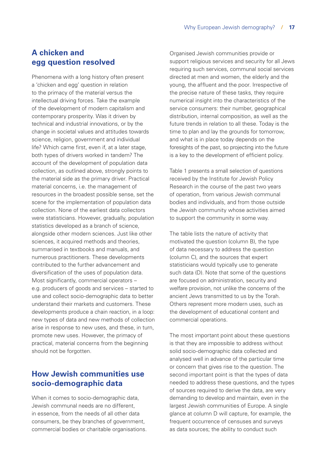#### **A chicken and egg question resolved**

Phenomena with a long history often present a 'chicken and egg' question in relation to the primacy of the material versus the intellectual driving forces. Take the example of the development of modern capitalism and contemporary prosperity. Was it driven by technical and industrial innovations, or by the change in societal values and attitudes towards science, religion, government and individual life? Which came first, even if, at a later stage, both types of drivers worked in tandem? The account of the development of population data collection, as outlined above, strongly points to the material side as the primary driver. Practical material concerns, i.e. the management of resources in the broadest possible sense, set the scene for the implementation of population data collection. None of the earliest data collectors were statisticians. However, gradually, population statistics developed as a branch of science, alongside other modern sciences. Just like other sciences, it acquired methods and theories, summarised in textbooks and manuals, and numerous practitioners. These developments contributed to the further advancement and diversification of the uses of population data. Most significantly, commercial operators – e.g. producers of goods and services – started to use and collect socio-demographic data to better understand their markets and customers. These developments produce a chain reaction, in a loop: new types of data and new methods of collection arise in response to new uses, and these, in turn, promote new uses. However, the primacy of practical, material concerns from the beginning should not be forgotten.

#### **How Jewish communities use socio-demographic data**

When it comes to socio-demographic data, Jewish communal needs are no different, in essence, from the needs of all other data consumers, be they branches of government, commercial bodies or charitable organisations.

Organised Jewish communities provide or support religious services and security for all Jews requiring such services, communal social services directed at men and women, the elderly and the young, the affluent and the poor. Irrespective of the precise nature of these tasks, they require numerical insight into the characteristics of the service consumers: their number, geographical distribution, internal composition, as well as the future trends in relation to all these. Today is the time to plan and lay the grounds for tomorrow, and what is in place today depends on the foresights of the past, so projecting into the future is a key to the development of efficient policy.

Table 1 presents a small selection of questions received by the Institute for Jewish Policy Research in the course of the past two years of operation, from various Jewish communal bodies and individuals, and from those outside the Jewish community whose activities aimed to support the community in some way.

The table lists the nature of activity that motivated the question (column B), the type of data necessary to address the question (column C), and the sources that expert statisticians would typically use to generate such data (D). Note that some of the questions are focused on administration, security and welfare provision, not unlike the concerns of the ancient Jews transmitted to us by the Torah. Others represent more modern uses, such as the development of educational content and commercial operations.

The most important point about these questions is that they are impossible to address without solid socio-demographic data collected and analysed well in advance of the particular time or concern that gives rise to the question. The second important point is that the types of data needed to address these questions, and the types of sources required to derive the data, are very demanding to develop and maintain, even in the largest Jewish communities of Europe. A single glance at column D will capture, for example, the frequent occurrence of censuses and surveys as data sources; the ability to conduct such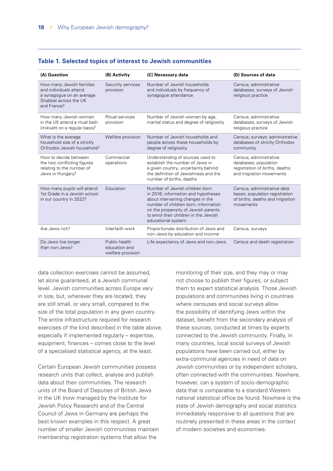|  |  | Table 1. Selected topics of interest to Jewish communities |
|--|--|------------------------------------------------------------|
|--|--|------------------------------------------------------------|

| (A) Question                                                                                                            | (B) Activity                                        | (C) Necessary data                                                                                                                                                                                                                                      | (D) Sources of data                                                                                           |  |  |
|-------------------------------------------------------------------------------------------------------------------------|-----------------------------------------------------|---------------------------------------------------------------------------------------------------------------------------------------------------------------------------------------------------------------------------------------------------------|---------------------------------------------------------------------------------------------------------------|--|--|
| How many Jewish families<br>and individuals attend<br>a synagogue on an average<br>Shabbat across the UK<br>and France? | Security services<br>provision                      | Number of Jewish households<br>and individuals by frequency of<br>synagogue attendance                                                                                                                                                                  | Census; administrative<br>databases; surveys of Jewish<br>religious practice                                  |  |  |
| How many Jewish women<br>in the UK attend a ritual bath<br>( <i>mikvah</i> ) on a regular basis?                        | Ritual services<br>provision                        | Number of Jewish women by age,<br>marital status and degree of religiosity                                                                                                                                                                              | Census; administrative<br>databases; surveys of Jewish<br>religious practice                                  |  |  |
| What is the average<br>household size of a strictly<br>Orthodox Jewish household?                                       | Welfare provision                                   | Number of Jewish households and<br>people across these households by<br>degree of religiosity                                                                                                                                                           | Census; surveys; administrative<br>databases of strictly Orthodox<br>community                                |  |  |
| How to decide between<br>the two conflicting figures<br>relating to the number of<br>Jews in Hungary?                   | Commercial<br>operations                            | Understanding of sources used to<br>establish the number of Jews in<br>a given country, uncertainty behind<br>the definition of Jewishness and the<br>number of births, deaths                                                                          | Census; administrative<br>databases; population<br>registration of births, deaths<br>and migration movements  |  |  |
| How many pupils will attend<br>1st Grade in a Jewish school<br>in our country in 2022?                                  | Education                                           | Number of Jewish children born<br>in 2016; information and hypotheses<br>about intervening changes in the<br>number of children born; information<br>on the propensity of Jewish parents<br>to enrol their children in the Jewish<br>educational system | Census; administrative data<br>bases; population registration<br>of births, deaths and migration<br>movements |  |  |
| Are Jews rich?                                                                                                          | Interfaith work                                     | Proportionate distribution of Jews and<br>non-Jews by education and income                                                                                                                                                                              | Census, surveys                                                                                               |  |  |
| Do Jews live longer<br>than non-Jews?                                                                                   | Public health<br>education and<br>welfare provision | Life expectancy of Jews and non-Jews                                                                                                                                                                                                                    | Census and death registration                                                                                 |  |  |

data collection exercises cannot be assumed, let alone guaranteed, at a Jewish communal level. Jewish communities across Europe vary in size, but, wherever they are located, they are still small, or very small, compared to the size of the total population in any given country. The entire infrastructure required for research exercises of the kind described in the table above, especially if implemented regularly – expertise, equipment, finances – comes close to the level of a specialised statistical agency, at the least.

Certain European Jewish communities possess research units that collect, analyse and publish data about their communities. The research units of the Board of Deputies of British Jews in the UK (now managed by the Institute for Jewish Policy Research) and of the Central Council of Jews in Germany are perhaps the best known examples in this respect. A great number of smaller Jewish communities maintain membership registration systems that allow the

monitoring of their size, and they may or may not choose to publish their figures, or subject them to expert statistical analysis. Those Jewish populations and communities living in countries where censuses and social surveys allow the possibility of identifying Jews within the dataset, benefit from the secondary analysis of these sources, conducted at times by experts connected to the Jewish community. Finally, in many countries, local social surveys of Jewish populations have been carried out, either by extra-communal agencies in need of data on Jewish communities or by independent scholars, often connected with the communities. Nowhere, however, can a system of socio-demographic data that is comparable to a standard Western national statistical office be found. Nowhere is the state of Jewish demography and social statistics immediately responsive to all questions that are routinely presented in these areas in the context of modern societies and economies.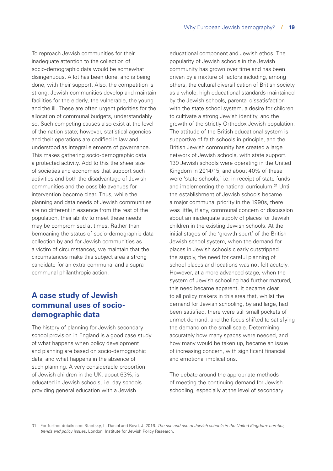To reproach Jewish communities for their inadequate attention to the collection of socio-demographic data would be somewhat disingenuous. A lot has been done, and is being done, with their support. Also, the competition is strong. Jewish communities develop and maintain facilities for the elderly, the vulnerable, the young and the ill. These are often urgent priorities for the allocation of communal budgets, understandably so. Such competing causes also exist at the level of the nation state; however, statistical agencies and their operations are codified in law and understood as integral elements of governance. This makes gathering socio-demographic data a protected activity. Add to this the sheer size of societies and economies that support such activities and both the disadvantage of Jewish communities and the possible avenues for intervention become clear. Thus, while the planning and data needs of Jewish communities are no different in essence from the rest of the population, their ability to meet these needs may be compromised at times. Rather than bemoaning the status of socio-demographic data collection by and for Jewish communities as a victim of circumstances, we maintain that the circumstances make this subject area a strong candidate for an extra-communal and a supracommunal philanthropic action.

#### **A case study of Jewish communal uses of sociodemographic data**

The history of planning for Jewish secondary school provision in England is a good case study of what happens when policy development and planning are based on socio-demographic data, and what happens in the absence of such planning. A very considerable proportion of Jewish children in the UK, about 63%, is educated in Jewish schools, i.e. day schools providing general education with a Jewish

educational component and Jewish ethos. The popularity of Jewish schools in the Jewish community has grown over time and has been driven by a mixture of factors including, among others, the cultural diversification of British society as a whole, high educational standards maintained by the Jewish schools, parental dissatisfaction with the state school system, a desire for children to cultivate a strong Jewish identity, and the growth of the strictly Orthodox Jewish population. The attitude of the British educational system is supportive of faith schools in principle, and the British Jewish community has created a large network of Jewish schools, with state support. 139 Jewish schools were operating in the United Kingdom in 2014/15, and about 40% of these were 'state schools,' i.e. in receipt of state funds and implementing the national curriculum.31 Until the establishment of Jewish schools became a major communal priority in the 1990s, there was little, if any, communal concern or discussion about an inadequate supply of places for Jewish children in the existing Jewish schools. At the initial stages of the 'growth spurt' of the British Jewish school system, when the demand for places in Jewish schools clearly outstripped the supply, the need for careful planning of school places and locations was not felt acutely. However, at a more advanced stage, when the system of Jewish schooling had further matured, this need became apparent. It became clear to all policy makers in this area that, whilst the demand for Jewish schooling, by and large, had been satisfied, there were still small pockets of unmet demand, and the focus shifted to satisfying the demand on the small scale. Determining accurately how many spaces were needed, and how many would be taken up, became an issue of increasing concern, with significant financial and emotional implications.

The debate around the appropriate methods of meeting the continuing demand for Jewish schooling, especially at the level of secondary

31 For further details see: Staetsky, L. Daniel and Boyd, J. 2016. *The rise and rise of Jewish schools in the United Kingdom: number, trends and policy issue*s. London: Institute for Jewish Policy Research.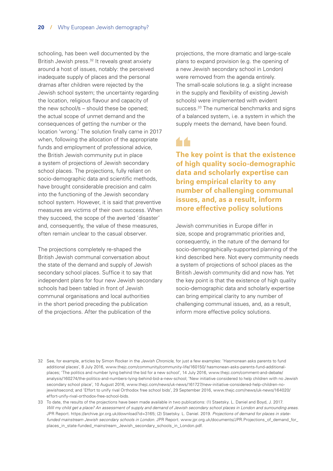schooling, has been well documented by the British Jewish press.<sup>32</sup> It reveals great anxiety around a host of issues, notably: the perceived inadequate supply of places and the personal dramas after children were rejected by the Jewish school system; the uncertainty regarding the location, religious flavour and capacity of the new school/s – should these be opened; the actual scope of unmet demand and the consequences of getting the number or the location 'wrong.' The solution finally came in 2017 when, following the allocation of the appropriate funds and employment of professional advice, the British Jewish community put in place a system of projections of Jewish secondary school places. The projections, fully reliant on socio-demographic data and scientific methods, have brought considerable precision and calm into the functioning of the Jewish secondary school system. However, it is said that preventive measures are victims of their own success. When they succeed, the scope of the averted 'disaster' and, consequently, the value of these measures, often remain unclear to the casual observer.

The projections completely re-shaped the British Jewish communal conversation about the state of the demand and supply of Jewish secondary school places. Suffice it to say that independent plans for four new Jewish secondary schools had been tabled in front of Jewish communal organisations and local authorities in the short period preceding the publication of the projections. After the publication of the

projections, the more dramatic and large-scale plans to expand provision (e.g. the opening of a new Jewish secondary school in London) were removed from the agenda entirely. The small-scale solutions (e.g. a slight increase in the supply and flexibility of existing Jewish schools) were implemented with evident success.<sup>33</sup> The numerical benchmarks and signs of a balanced system, i.e. a system in which the supply meets the demand, have been found.

**The key point is that the existence of high quality socio-demographic data and scholarly expertise can bring empirical clarity to any number of challenging communal issues, and, as a result, inform more effective policy solutions**

Jewish communities in Europe differ in size, scope and programmatic priorities and, consequently, in the nature of the demand for socio-demographically-supported planning of the kind described here. Not every community needs a system of projections of school places as the British Jewish community did and now has. Yet the key point is that the existence of high quality socio-demographic data and scholarly expertise can bring empirical clarity to any number of challenging communal issues, and, as a result, inform more effective policy solutions.

- 32 See, for example, articles by Simon Rocker in the *Jewish Chronicle*, for just a few examples: 'Hasmonean asks parents to fund additional places', 8 July 2016, www.thejc.com/community/community-life/160150/ hasmonean-asks-parents-fund-additionalplaces; 'The politics and number lying behind the bid for a new school', 14 July 2016, www.thejc.com/comment-and-debate/ analysis/160274/the-politics-and-numbers-lying-behind-bid-a-new-school; 'New initiative considered to help children with no Jewish secondary school place', 10 August 2016, www.thejc.com/news/uk-news/161727/new-initiative-considered-help-children-nojewishsecond; and 'Effort to unify rival Orthodox free school bids', 29 September 2016, www.thejc.com/news/uk-news/164020/ effort-unify-rival-orthodox-free-school-bids.
- 33 To date, the results of the projections have been made available in two publications: (1) Staetsky. L. Daniel and Boyd, J. 2017. *Will my child get a place? An assessment of supply and demand of Jewish secondary school places in London and surrounding areas*. JPR Report. <https://archive.jpr.org.uk/download?id=3165>; (2) Staetsky. L. Daniel. 2019. *Projections of demand for places in statefunded mainstream Jewish secondary schools in London*. JPR Report. [www.jpr.org.uk/documents/JPR.Projections\\_of\\_demand\\_for\\_](https://www.jpr.org.uk/documents/JPR.Projections_of_demand_for_places_in_state-funded_mainstream_Jewish_secondary_schools_in_London.pdf) [places\\_in\\_state-funded\\_mainstream\\_Jewish\\_secondary\\_schools\\_in\\_London.pdf.](https://www.jpr.org.uk/documents/JPR.Projections_of_demand_for_places_in_state-funded_mainstream_Jewish_secondary_schools_in_London.pdf)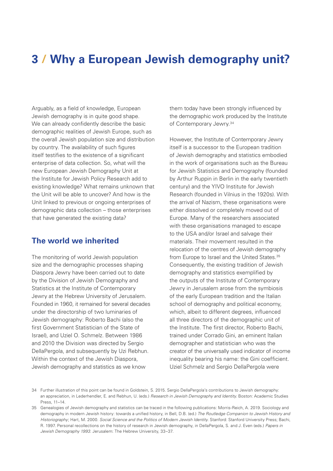## <span id="page-22-0"></span>**3 / Why a European Jewish demography unit?**

Arguably, as a field of knowledge, European Jewish demography is in quite good shape. We can already confidently describe the basic demographic realities of Jewish Europe, such as the overall Jewish population size and distribution by country. The availability of such figures itself testifies to the existence of a significant enterprise of data collection. So, what will the new European Jewish Demography Unit at the Institute for Jewish Policy Research add to existing knowledge? What remains unknown that the Unit will be able to uncover? And how is the Unit linked to previous or ongoing enterprises of demographic data collection – those enterprises that have generated the existing data?

#### **The world we inherited**

The monitoring of world Jewish population size and the demographic processes shaping Diaspora Jewry have been carried out to date by the Division of Jewish Demography and Statistics at the Institute of Contemporary Jewry at the Hebrew University of Jerusalem. Founded in 1960, it remained for several decades under the directorship of two luminaries of Jewish demography: Roberto Bachi (also the first Government Statistician of the State of Israel), and Uziel O. Schmelz. Between 1986 and 2010 the Division was directed by Sergio DellaPergola, and subsequently by Uzi Rebhun. Within the context of the Jewish Diaspora, Jewish demography and statistics as we know

them today have been strongly influenced by the demographic work produced by the Institute of Contemporary Jewry.34

However, the Institute of Contemporary Jewry itself is a successor to the European tradition of Jewish demography and statistics embodied in the work of organisations such as the Bureau for Jewish Statistics and Demography (founded by Arthur Ruppin in Berlin in the early twentieth century) and the YIVO Institute for Jewish Research (founded in Vilnius in the 1920s). With the arrival of Nazism, these organisations were either dissolved or completely moved out of Europe. Many of the researchers associated with these organisations managed to escape to the USA and/or Israel and salvage their materials. Their movement resulted in the relocation of the centres of Jewish demography from Europe to Israel and the United States.<sup>35</sup> Consequently, the existing tradition of Jewish demography and statistics exemplified by the outputs of the Institute of Contemporary Jewry in Jerusalem arose from the symbiosis of the early European tradition and the Italian school of demography and political economy, which, albeit to different degrees, influenced all three directors of the demographic unit of the Institute. The first director, Roberto Bachi, trained under Corrado Gini, an eminent Italian demographer and statistician who was the creator of the universally used indicator of income inequality bearing his name: the Gini coefficient. Uziel Schmelz and Sergio DellaPergola were

<sup>34</sup> Further illustration of this point can be found in Goldstein, S. 2015. Sergio DellaPergola's contributions to Jewish demography: an appreciation, in Lederhendler, E. and Rebhun, U. (eds.) *Research in Jewish Demography and Identity*. Boston: Academic Studies Press, 11–14.

<sup>35</sup> Genealogies of Jewish demography and statistics can be traced in the following publications: Morris-Reich, A. 2019. Sociology and demography in modern Jewish history: towards a unified history, in Bell, D.B. (ed.) *The Routledge Companion to Jewish History and Historiography*; Hart, M. 2000. *Social Science and the Politics of Modern Jewish Identity*. Stanford: Stanford University Press; Bachi, R. 1997. Personal recollections on the history of research in Jewish demography, in DellaPergola, S. and J. Even (eds.) *Papers in Jewish Demography 1993*. Jerusalem: The Hebrew University, 33–37.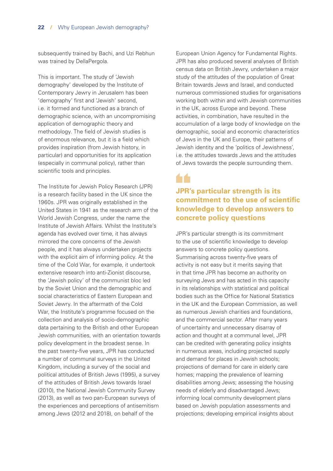subsequently trained by Bachi, and Uzi Rebhun was trained by DellaPergola.

This is important. The study of 'Jewish demography' developed by the Institute of Contemporary Jewry in Jerusalem has been 'demography' first and 'Jewish' second, i.e. it formed and functioned as a branch of demographic science, with an uncompromising application of demographic theory and methodology. The field of Jewish studies is of enormous relevance, but it is a field which provides inspiration (from Jewish history, in particular) and opportunities for its application (especially in communal policy), rather than scientific tools and principles.

The Institute for Jewish Policy Research (JPR) is a research facility based in the UK since the 1960s. JPR was originally established in the United States in 1941 as the research arm of the World Jewish Congress, under the name the Institute of Jewish Affairs. Whilst the Institute's agenda has evolved over time, it has always mirrored the core concerns of the Jewish people, and it has always undertaken projects with the explicit aim of informing policy. At the time of the Cold War, for example, it undertook extensive research into anti-Zionist discourse, the 'Jewish policy' of the communist bloc led by the Soviet Union and the demographic and social characteristics of Eastern European and Soviet Jewry. In the aftermath of the Cold War, the Institute's programme focused on the collection and analysis of socio-demographic data pertaining to the British and other European Jewish communities, with an orientation towards policy development in the broadest sense. In the past twenty-five years, JPR has conducted a number of communal surveys in the United Kingdom, including a survey of the social and political attitudes of British Jews (1995), a survey of the attitudes of British Jews towards Israel (2010), the National Jewish Community Survey (2013), as well as two pan-European surveys of the experiences and perceptions of antisemitism among Jews (2012 and 2018), on behalf of the

European Union Agency for Fundamental Rights. JPR has also produced several analyses of British census data on British Jewry, undertaken a major study of the attitudes of the population of Great Britain towards Jews and Israel, and conducted numerous commissioned studies for organisations working both within and with Jewish communities in the UK, across Europe and beyond. These activities, in combination, have resulted in the accumulation of a large body of knowledge on the demographic, social and economic characteristics of Jews in the UK and Europe, their patterns of Jewish identity and the 'politics of Jewishness', i.e. the attitudes towards Jews and the attitudes of Jews towards the people surrounding them.

### **JPR's particular strength is its commitment to the use of scientific knowledge to develop answers to concrete policy questions**

JPR's particular strength is its commitment to the use of scientific knowledge to develop answers to concrete policy questions. Summarising across twenty-five years of activity is not easy but it merits saying that in that time JPR has become an authority on surveying Jews and has acted in this capacity in its relationships with statistical and political bodies such as the Office for National Statistics in the UK and the European Commission, as well as numerous Jewish charities and foundations, and the commercial sector. After many years of uncertainty and unnecessary disarray of action and thought at a communal level, JPR can be credited with generating policy insights in numerous areas, including projected supply and demand for places in Jewish schools; projections of demand for care in elderly care homes; mapping the prevalence of learning disabilities among Jews; assessing the housing needs of elderly and disadvantaged Jews; informing local community development plans based on Jewish population assessments and projections; developing empirical insights about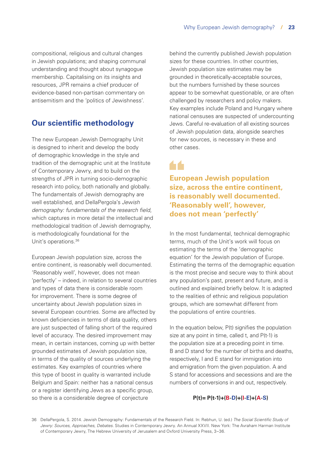compositional, religious and cultural changes in Jewish populations; and shaping communal understanding and thought about synagogue membership. Capitalising on its insights and resources, JPR remains a chief producer of evidence-based non-partisan commentary on antisemitism and the 'politics of Jewishness'.

#### **Our scientific methodology**

The new European Jewish Demography Unit is designed to inherit and develop the body of demographic knowledge in the style and tradition of the demographic unit at the Institute of Contemporary Jewry, and to build on the strengths of JPR in turning socio-demographic research into policy, both nationally and globally. The fundamentals of Jewish demography are well established, and DellaPergola's *Jewish demography: fundamentals of the research field*, which captures in more detail the intellectual and methodological tradition of Jewish demography, is methodologically foundational for the Unit's operations.<sup>36</sup>

European Jewish population size, across the entire continent, is reasonably well documented. 'Reasonably well', however, does not mean 'perfectly' – indeed, in relation to several countries and types of data there is considerable room for improvement. There is some degree of uncertainty about Jewish population sizes in several European countries. Some are affected by known deficiencies in terms of data quality, others are just suspected of falling short of the required level of accuracy. The desired improvement may mean, in certain instances, coming up with better grounded estimates of Jewish population size, in terms of the quality of sources underlying the estimates. Key examples of countries where this type of boost in quality is warranted include Belgium and Spain: neither has a national census or a register identifying Jews as a specific group, so there is a considerable degree of conjecture

behind the currently published Jewish population sizes for these countries. In other countries, Jewish population size estimates may be grounded in theoretically-acceptable sources, but the numbers furnished by these sources appear to be somewhat questionable, or are often challenged by researchers and policy makers. Key examples include Poland and Hungary where national censuses are suspected of undercounting Jews. Careful re-evaluation of all existing sources of Jewish population data, alongside searches for new sources, is necessary in these and other cases.

**European Jewish population size, across the entire continent, is reasonably well documented. 'Reasonably well', however, does not mean 'perfectly'**

In the most fundamental, technical demographic terms, much of the Unit's work will focus on estimating the terms of the 'demographic equation' for the Jewish population of Europe. Estimating the terms of the demographic equation is the most precise and secure way to think about any population's past, present and future, and is outlined and explained briefly below. It is adapted to the realities of ethnic and religious population groups, which are somewhat different from the populations of entire countries.

In the equation below, P(t) signifies the population size at any point in time, called t, and P(t-1) is the population size at a preceding point in time. B and D stand for the number of births and deaths, respectively, I and E stand for immigration into and emigration from the given population. A and S stand for accessions and secessions and are the numbers of conversions in and out, respectively.

#### **P(t)= P(t-1)+(B-D)+(I-E)+(A-S)**

36 DellaPergola, S. 2014. Jewish Demography: Fundamentals of the Research Field. In: Rebhun, U. (ed.) *The Social Scientific Study of Jewry: Sources, Approaches, Debates*. Studies in Contemporary Jewry. An Annual XXVII. New York: The Avraham Harman Institute of Contemporary Jewry, The Hebrew University of Jerusalem and Oxford University Press, 3–36.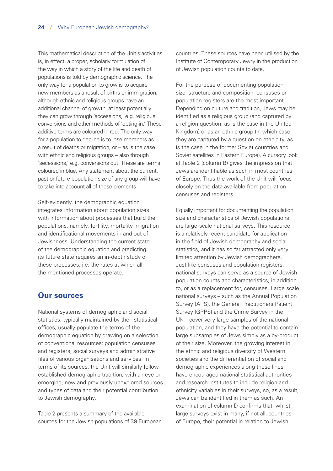This mathematical description of the Unit's activities is, in effect, a proper, scholarly formulation of the way in which a story of the life and death of populations is told by demographic science. The only way for a population to grow is to acquire new members as a result of births or immigration, although ethnic and religious groups have an additional channel of growth, at least potentially: they can grow through 'accessions,' e.g. religious conversions and other methods of 'opting in.' These additive terms are coloured in red. The only way for a population to decline is to lose members as a result of deaths or migration, or – as is the case with ethnic and religious groups – also through 'secessions,' e.g. conversions out. These are terms coloured in blue. Any statement about the current, past or future population size of any group will have to take into account all of these elements.

Self-evidently, the demographic equation integrates information about population sizes with information about processes that build the populations, namely, fertility, mortality, migration and identificational movements in and out of Jewishness. Understanding the current state of the demographic equation and predicting its future state requires an in-depth study of these processes, i.e. the rates at which all the mentioned processes operate.

#### **Our sources**

National systems of demographic and social statistics, typically maintained by their statistical offices, usually populate the terms of the demographic equation by drawing on a selection of conventional resources: population censuses and registers, social surveys and administrative files of various organisations and services. In terms of its sources, the Unit will similarly follow established demographic tradition, with an eye on emerging, new and previously unexplored sources and types of data and their potential contribution to Jewish demography.

Table 2 presents a summary of the available sources for the Jewish populations of 39 European countries. These sources have been utilised by the Institute of Contemporary Jewry in the production of Jewish population counts to date.

For the purpose of documenting population size, structure and composition, censuses or population registers are the most important. Depending on culture and tradition, Jews may be identified as a religious group (and captured by a religion question, as is the case in the United Kingdom) or as an ethnic group (in which case they are captured by a question on ethnicity, as is the case in the former Soviet countries and Soviet satellites in Eastern Europe). A cursory look at Table 2 (column B) gives the impression that Jews are identifiable as such in most countries of Europe. Thus the work of the Unit will focus closely on the data available from population censuses and registers.

Equally important for documenting the population size and characteristics of Jewish populations are large-scale national surveys. This resource is a relatively recent candidate for application in the field of Jewish demography and social statistics, and it has so far attracted only very limited attention by Jewish demographers. Just like censuses and population registers, national surveys can serve as a source of Jewish population counts and characteristics, in addition to, or as a replacement for, censuses. Large scale national surveys – such as the Annual Population Survey (APS), the General Practitioners Patient Survey (GPPS) and the Crime Survey in the UK – cover very large samples of the national population, and they have the potential to contain large subsamples of Jews simply as a by-product of their size. Moreover, the growing interest in the ethnic and religious diversity of Western societies and the differentiation of social and demographic experiences along these lines have encouraged national statistical authorities and research institutes to include religion and ethnicity variables in their surveys, so, as a result, Jews can be identified in them as such. An examination of column D confirms that, whilst large surveys exist in many, if not all, countries of Europe, their potential in relation to Jewish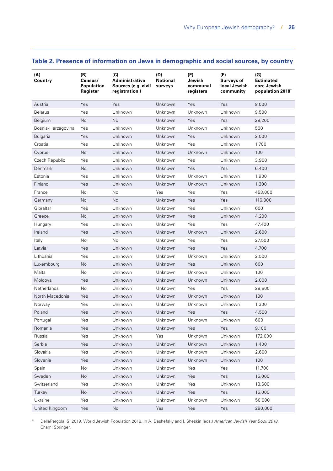| (A)<br>Country     | (B)<br>Census/<br><b>Population</b><br>Register | (C)<br><b>Administrative</b><br>Sources (e.g. civil<br>registration) | (D)<br><b>National</b><br>surveys | (E)<br>Jewish<br>communal<br>registers | (F)<br><b>Surveys of</b><br>local Jewish<br>community | (G)<br><b>Estimated</b><br>core Jewish<br>population 2018* |
|--------------------|-------------------------------------------------|----------------------------------------------------------------------|-----------------------------------|----------------------------------------|-------------------------------------------------------|------------------------------------------------------------|
| Austria            | Yes                                             | Yes                                                                  | Unknown                           | Yes                                    | Yes                                                   | 9,000                                                      |
| <b>Belarus</b>     | Yes                                             | Unknown                                                              | Unknown                           | Unknown                                | Unknown                                               | 9,500                                                      |
| Belgium            | <b>No</b>                                       | <b>No</b>                                                            | Unknown                           | Yes                                    | Yes                                                   | 29,200                                                     |
| Bosnia-Herzegovina | Yes                                             | Unknown                                                              | Unknown                           | Unknown                                | Unknown                                               | 500                                                        |
| <b>Bulgaria</b>    | Yes                                             | Unknown                                                              | Unknown                           | Yes                                    | Unknown                                               | 2,000                                                      |
| Croatia            | Yes                                             | Unknown                                                              | Unknown                           | Yes                                    | Unknown                                               | 1,700                                                      |
| Cyprus             | No                                              | Unknown                                                              | Unknown                           | Unknown                                | Unknown                                               | 100                                                        |
| Czech Republic     | Yes                                             | Unknown                                                              | Unknown                           | Yes                                    | Unknown                                               | 3,900                                                      |
| Denmark            | No                                              | Unknown                                                              | Unknown                           | Yes                                    | Yes                                                   | 6,400                                                      |
| Estonia            | Yes                                             | Unknown                                                              | Unknown                           | Unknown                                | Unknown                                               | 1,900                                                      |
| Finland            | Yes                                             | Unknown                                                              | Unknown                           | Unknown                                | Unknown                                               | 1,300                                                      |
| France             | <b>No</b>                                       | <b>No</b>                                                            | Yes                               | Yes                                    | Yes                                                   | 453,000                                                    |
| Germany            | <b>No</b>                                       | <b>No</b>                                                            | Unknown                           | Yes                                    | Yes                                                   | 116,000                                                    |
| Gibraltar          | Yes                                             | Unknown                                                              | Unknown                           | Yes                                    | Unknown                                               | 600                                                        |
| Greece             | <b>No</b>                                       | Unknown                                                              | Unknown                           | Yes                                    | Unknown                                               | 4,200                                                      |
| Hungary            | Yes                                             | Unknown                                                              | Unknown                           | Yes                                    | Yes                                                   | 47,400                                                     |
| Ireland            | Yes                                             | Unknown                                                              | Unknown                           | Unknown                                | Unknown                                               | 2,600                                                      |
| Italy              | No                                              | No                                                                   | Unknown                           | Yes                                    | Yes                                                   | 27,500                                                     |
| Latvia             | Yes                                             | Unknown                                                              | Unknown                           | Yes                                    | Yes                                                   | 4,700                                                      |
| Lithuania          | Yes                                             | Unknown                                                              | Unknown                           | Unknown                                | Unknown                                               | 2,500                                                      |
| Luxembourg         | No                                              | Unknown                                                              | Unknown                           | Yes                                    | Unknown                                               | 600                                                        |
| Malta              | No                                              | Unknown                                                              | Unknown                           | Unknown                                | Unknown                                               | 100                                                        |
| Moldova            | Yes                                             | Unknown                                                              | Unknown                           | Unknown                                | Unknown                                               | 2,000                                                      |
| <b>Netherlands</b> | No                                              | Unknown                                                              | Unknown                           | Yes                                    | Yes                                                   | 29,800                                                     |
| North Macedonia    | Yes                                             | Unknown                                                              | Unknown                           | Unknown                                | Unknown                                               | 100                                                        |
| Norway             | Yes                                             | Unknown                                                              | Unknown                           | Unknown                                | Unknown                                               | 1,300                                                      |
| Poland             | Yes                                             | Unknown                                                              | Unknown                           | Yes                                    | Yes                                                   | 4,500                                                      |
| Portugal           | Yes                                             | Unknown                                                              | Unknown                           | Unknown                                | Unknown                                               | 600                                                        |
| Romania            | Yes                                             | Unknown                                                              | Unknown                           | Yes                                    | Yes                                                   | 9,100                                                      |
| Russia             | Yes                                             | Unknown                                                              | Yes                               | Unknown                                | Unknown                                               | 172,000                                                    |
| Serbia             | Yes                                             | Unknown                                                              | Unknown                           | Unknown                                | Unknown                                               | 1,400                                                      |
| Slovakia           | Yes                                             | Unknown                                                              | Unknown                           | Unknown                                | Unknown                                               | 2,600                                                      |
| Slovenia           | Yes                                             | Unknown                                                              | Unknown                           | Unknown                                | Unknown                                               | 100                                                        |
| Spain              | No                                              | Unknown                                                              | Unknown                           | Yes                                    | Yes                                                   | 11,700                                                     |
| Sweden             | No                                              | Unknown                                                              | Unknown                           | Yes                                    | Yes                                                   | 15,000                                                     |
| Switzerland        | Yes                                             | Unknown                                                              | Unknown                           | Yes                                    | Unknown                                               | 18,600                                                     |
| Turkey             | No                                              | Unknown                                                              | Unknown                           | Yes                                    | Yes                                                   | 15,000                                                     |
| Ukraine            | Yes                                             | Unknown                                                              | Unknown                           | Unknown                                | Unknown                                               | 50,000                                                     |
| United Kingdom     | Yes                                             | No                                                                   | Yes                               | Yes                                    | Yes                                                   | 290,000                                                    |

#### **Table 2. Presence of information on Jews in demographic and social sources, by country**

\* DellaPergola, S. 2019. World Jewish Population 2018. In A. Dashefsky and I. Sheskin (eds.) *American Jewish Year Book 2018*. Cham: Springer.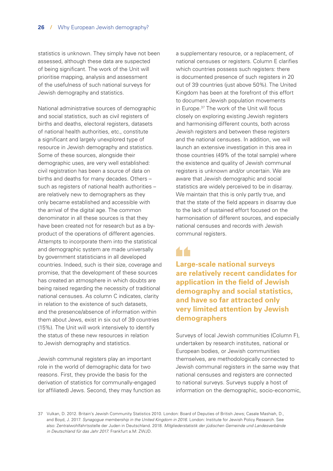statistics is unknown. They simply have not been assessed, although these data are suspected of being significant. The work of the Unit will prioritise mapping, analysis and assessment of the usefulness of such national surveys for Jewish demography and statistics.

National administrative sources of demographic and social statistics, such as civil registers of births and deaths, electoral registers, datasets of national health authorities, etc., constitute a significant and largely unexplored type of resource in Jewish demography and statistics. Some of these sources, alongside their demographic uses, are very well established: civil registration has been a source of data on births and deaths for many decades. Others – such as registers of national health authorities – are relatively new to demographers as they only became established and accessible with the arrival of the digital age. The common denominator in all these sources is that they have been created not for research but as a byproduct of the operations of different agencies. Attempts to incorporate them into the statistical and demographic system are made universally by government statisticians in all developed countries. Indeed, such is their size, coverage and promise, that the development of these sources has created an atmosphere in which doubts are being raised regarding the necessity of traditional national censuses. As column C indicates, clarity in relation to the existence of such datasets, and the presence/absence of information within them about Jews, exist in six out of 39 countries (15%). The Unit will work intensively to identify the status of these new resources in relation to Jewish demography and statistics.

Jewish communal registers play an important role in the world of demographic data for two reasons. First, they provide the basis for the derivation of statistics for communally-engaged (or affiliated) Jews. Second, they may function as a supplementary resource, or a replacement, of national censuses or registers. Column E clarifies which countries possess such registers: there is documented presence of such registers in 20 out of 39 countries (just above 50%). The United Kingdom has been at the forefront of this effort to document Jewish population movements in Europe.37 The work of the Unit will focus closely on exploring existing Jewish registers and harmonising different counts, both across Jewish registers and between these registers and the national censuses. In addition, we will launch an extensive investigation in this area in those countries (49% of the total sample) where the existence and quality of Jewish communal registers is unknown and/or uncertain. We are aware that Jewish demographic and social statistics are widely perceived to be in disarray. We maintain that this is only partly true, and that the state of the field appears in disarray due to the lack of sustained effort focused on the harmonisation of different sources, and especially national censuses and records with Jewish communal registers.

## 66

**Large-scale national surveys are relatively recent candidates for application in the field of Jewish demography and social statistics, and have so far attracted only very limited attention by Jewish demographers**

Surveys of local Jewish communities (Column F), undertaken by research institutes, national or European bodies, or Jewish communities themselves, are methodologically connected to Jewish communal registers in the same way that national censuses and registers are connected to national surveys. Surveys supply a host of information on the demographic, socio-economic,

37 Vulkan, D. 2012. Britain's Jewish Community Statistics 2010. London: Board of Deputies of British Jews; Casale Mashiah, D., and Boyd, J. 2017. *Synagogue membership in the United Kingdom in 2016*. London: Institute for Jewish Policy Research. See also: Zentralwohlfahrtsstelle der Juden in Deutschland. 2018. *Mitgliederstatistik der jüdischen Gemeinde und Landesverbände in Deutschland für das Jahr 2017*. Frankfurt a.M: ZWJD.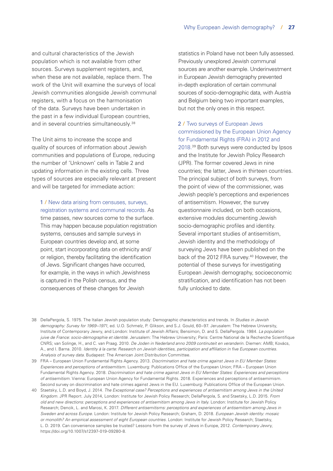and cultural characteristics of the Jewish population which is not available from other sources. Surveys supplement registers, and, when these are not available, replace them. The work of the Unit will examine the surveys of local Jewish communities alongside Jewish communal registers, with a focus on the harmonisation of the data. Surveys have been undertaken in the past in a few individual European countries, and in several countries simultaneously.<sup>38</sup>

The Unit aims to increase the scope and quality of sources of information about Jewish communities and populations of Europe, reducing the number of 'Unknown' cells in Table 2 and updating information in the existing cells. Three types of sources are especially relevant at present and will be targeted for immediate action:

1 **/** New data arising from censuses, surveys, registration systems and communal records. As time passes, new sources come to the surface. This may happen because population registration systems, censuses and sample surveys in European countries develop and, at some point, start incorporating data on ethnicity and/ or religion, thereby facilitating the identification of Jews. Significant changes have occurred, for example, in the ways in which Jewishness is captured in the Polish census, and the consequences of these changes for Jewish

statistics in Poland have not been fully assessed. Previously unexplored Jewish communal sources are another example. Underinvestment in European Jewish demography prevented in-depth exploration of certain communal sources of socio-demographic data, with Austria and Belgium being two important examples, but not the only ones in this respect.

2 **/** Two surveys of European Jews commissioned by the European Union Agency for Fundamental Rights (FRA) in 2012 and 2018.39 Both surveys were conducted by Ipsos and the Institute for Jewish Policy Research (JPR). The former covered Jews in nine countries; the latter, Jews in thirteen countries. The principal subject of both surveys, from the point of view of the commissioner, was Jewish people's perceptions and experiences of antisemitism. However, the survey questionnaire included, on both occasions, extensive modules documenting Jewish socio-demographic profiles and identity. Several important studies of antisemitism, Jewish identity and the methodology of surveying Jews have been published on the back of the 2012 FRA survey.<sup>40</sup> However, the potential of these surveys for investigating European Jewish demography, socioeconomic stratification, and identification has not been fully unlocked to date.

- 38 DellaPergola, S. 1975. The Italian Jewish population study: Demographic characteristics and trends. In *Studies in Jewish demography: Survey for 1969–1971*, ed. U.O. Schmelz, P. Glikson, and S.J. Gould, 60–97. Jerusalem: The Hebrew University, Institute of Contemporary Jewry, and London: Institute of Jewish Affairs; Bensimon, D. and S. DellaPergola. 1984. *La population juive de France: socio-démographie et identité.* Jerusalem: The Hebrew University; Paris: Centre National de la Recherche Scientifique CNRS; van Solinge, H., and C. van Praag. 2010. *De Joden in Nederland anno 2009 continuteit en veranderin*. Diemen: AMB; Kovács, A., and I. Barna. 2010. *Identity à la carte: Research on Jewish identities, participation and affiliation in five European countries. Analysis of survey data*. Budapest: The American Joint Distribution Committee.
- 39 FRA European Union Fundamental Rights Agency. 2013. *Discrimination and hate crime against Jews in EU Member States: Experiences and perceptions of antisemitism*. Luxemburg: Publications Office of the European Union; FRA – European Union Fundamental Rights Agency. 2018. *Discrimination and hate crime against Jews in EU Member States: Experiences and perceptions of antisemitism*. Vienna: European Union Agency for Fundamental Rights. 2018. Experiences and perceptions of antisemimism. Second survey on discrimination and hate crimes against Jews in the EU. Luxemburg: Publications Office of the European Union.
- 40 Staetsky, L.D. and Boyd, J. 2014. *[The Exceptional case? Perceptions and experiences of antisemitism among Jews in the United](http://www.jpr.org.uk/documents/Perceptions_and_experiences_of_antisemitism_among_Jews_in_UK.pdf)  Kingdom*[. JPR Report. July 2014](http://www.jpr.org.uk/documents/Perceptions_and_experiences_of_antisemitism_among_Jews_in_UK.pdf), London: Institute for Jewish Policy Research; DellaPergola, S. and Staetsky, L.D. 2015. *[From](http://www.jpr.org.uk/documents/Perceptions_and_experiences_of_antisemitism_among_Jews_in_Italy.pdf)  [old and new directions: perceptions and experiences of antisemitism among Jews in Italy](http://www.jpr.org.uk/documents/Perceptions_and_experiences_of_antisemitism_among_Jews_in_Italy.pdf)*. London: Institute for Jewish Policy Research; Dencik, L. and Marosi, K. 2017. *[Different antisemitisms: perceptions and experiences of antisemitism among Jews in](http://www.jpr.org.uk/documents/JPR_2017._Different_Antisemitisms_in_Sweden_and_across_Europe.pdf)  [Sweden and across Europe](http://www.jpr.org.uk/documents/JPR_2017._Different_Antisemitisms_in_Sweden_and_across_Europe.pdf)*. London: Institute for Jewish Policy Research; Graham, D. 2018. *[European Jewish identity: mosaic](http://www.jpr.org.uk/documents/JPR.2018.European_Jewish_identity.Mosaic_or_Monolith.pdf)  [or monolith? An empirical assessment of eight European countries](http://www.jpr.org.uk/documents/JPR.2018.European_Jewish_identity.Mosaic_or_Monolith.pdf)*. London: Institute for Jewish Policy Research; Staetsky, L. D. 2019. Can convenience samples be trusted? Lessons from the survey of Jews in Europe, 2012. *Contemporary Jewry*, https://doi.org/10.1007/s12397-019-09280-8.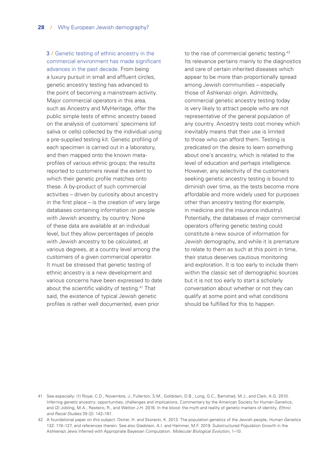3 **/** Genetic testing of ethnic ancestry in the commercial environment has made significant advances in the past decade. From being a luxury pursuit in small and affluent circles, genetic ancestry testing has advanced to the point of becoming a mainstream activity. Major commercial operators in this area, such as Ancestry and MyHeritage, offer the public simple tests of ethnic ancestry based on the analysis of customers' specimens (of saliva or cells) collected by the individual using a pre-supplied testing kit. Genetic profiling of each specimen is carried out in a laboratory, and then mapped onto the known metaprofiles of various ethnic groups; the results reported to customers reveal the extent to which their genetic profile matches onto these. A by-product of such commercial activities – driven by curiosity about ancestry in the first place – is the creation of very large databases containing information on people with Jewish ancestry, by country. None of these data are available at an individual level, but they allow percentages of people with Jewish ancestry to be calculated, at various degrees, at a country level among the customers of a given commercial operator. It must be stressed that genetic testing of ethnic ancestry is a new development and various concerns have been expressed to date about the scientific validity of testing.41 That said, the existence of typical Jewish genetic profiles is rather well documented, even prior

to the rise of commercial genetic testing.<sup>42</sup> Its relevance pertains mainly to the diagnostics and care of certain inherited diseases which appear to be more than proportionally spread among Jewish communities – especially those of Ashkenazi origin. Admittedly, commercial genetic ancestry testing today is very likely to attract people who are not representative of the general population of any country. Ancestry tests cost money which inevitably means that their use is limited to those who can afford them. Testing is predicated on the desire to learn something about one's ancestry, which is related to the level of education and perhaps intelligence. However, any selectivity of the customers seeking genetic ancestry testing is bound to diminish over time, as the tests become more affordable and more widely used for purposes other than ancestry testing (for example, in medicine and the insurance industry). Potentially, the databases of major commercial operators offering genetic testing could constitute a new source of information for Jewish demography, and while it is premature to relate to them as such at this point in time, their status deserves cautious monitoring and exploration. It is too early to include them within the classic set of demographic sources but it is not too early to start a scholarly conversation about whether or not they can qualify at some point and what conditions should be fulfilled for this to happen.

<sup>41</sup> See especially: (1) Royal, C.D., Novembre, J., Fullerton, S.M., Goldstein, D.B., Long, G.C., Bamshad, M.J., and Clark, A.G. 2010. Inferring genetic ancestry: opportunities, challenges and implications, Commentary by the American Society for Human Genetics, and (2) Jobling, M.A., Rasteiro, R., and Wetton J.H. 2016. In the blood: the myth and reality of genetic markers of identity, *Ethnic and Racial Studies* 39 (2): 142–161.

<sup>42</sup> A foundational paper on this subject: Ostrer, H. and Skorecki, K. 2013. The population genetics of the Jewish people, *Human Genetics* 132: 119–127, and references therein. See also Gladstein, A.I. and Hammer, M.F. 2019. Substructured Population Growth in the Ashkenazi Jews Inferred with Appropriate Bayesian Computation. *Molecular Biological Evolution*, 1–10.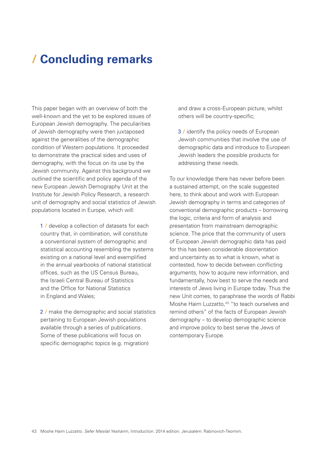## <span id="page-30-0"></span>**/ Concluding remarks**

This paper began with an overview of both the well-known and the yet to be explored issues of European Jewish demography. The peculiarities of Jewish demography were then juxtaposed against the generalities of the demographic condition of Western populations. It proceeded to demonstrate the practical sides and uses of demography, with the focus on its use by the Jewish community. Against this background we outlined the scientific and policy agenda of the new European Jewish Demography Unit at the Institute for Jewish Policy Research, a research unit of demography and social statistics of Jewish populations located in Europe, which will:

1 / develop a collection of datasets for each country that, in combination, will constitute a conventional system of demographic and statistical accounting resembling the systems existing on a national level and exemplified in the annual yearbooks of national statistical offices, such as the US Census Bureau, the Israeli Central Bureau of Statistics and the Office for National Statistics in England and Wales;

2 **/** make the demographic and social statistics pertaining to European Jewish populations available through a series of publications. Some of these publications will focus on specific demographic topics (e.g. migration)

and draw a cross-European picture, whilst others will be country-specific;

3 **/** identify the policy needs of European Jewish communities that involve the use of demographic data and introduce to European Jewish leaders the possible products for addressing these needs.

To our knowledge there has never before been a sustained attempt, on the scale suggested here, to think about and work with European Jewish demography in terms and categories of conventional demographic products – borrowing the logic, criteria and form of analysis and presentation from mainstream demographic science. The price that the community of users of European Jewish demographic data has paid for this has been considerable disorientation and uncertainty as to what is known, what is contested, how to decide between conflicting arguments, how to acquire new information, and fundamentally, how best to serve the needs and interests of Jews living in Europe today. Thus the new Unit comes, to paraphrase the words of Rabbi Moshe Haim Luzzatto,<sup>43</sup> "to teach ourselves and remind others" of the facts of European Jewish demography – to develop demographic science and improve policy to best serve the Jews of contemporary Europe.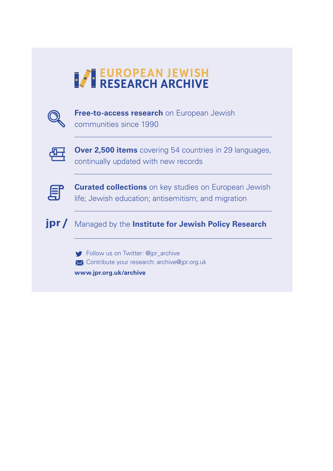# **EUROPEAN JEWISH**



**Free-to-access research** on European Jewish communities since 1990



**Over 2,500 items** covering 54 countries in 29 languages, continually updated with new records



**Curated collections** on key studies on European Jewish life; Jewish education; antisemitism; and migration



Follow us on Twitter: @jpr\_archive **X** Contribute your research: archive@jpr.org.uk **www.jpr.org.uk/archive**